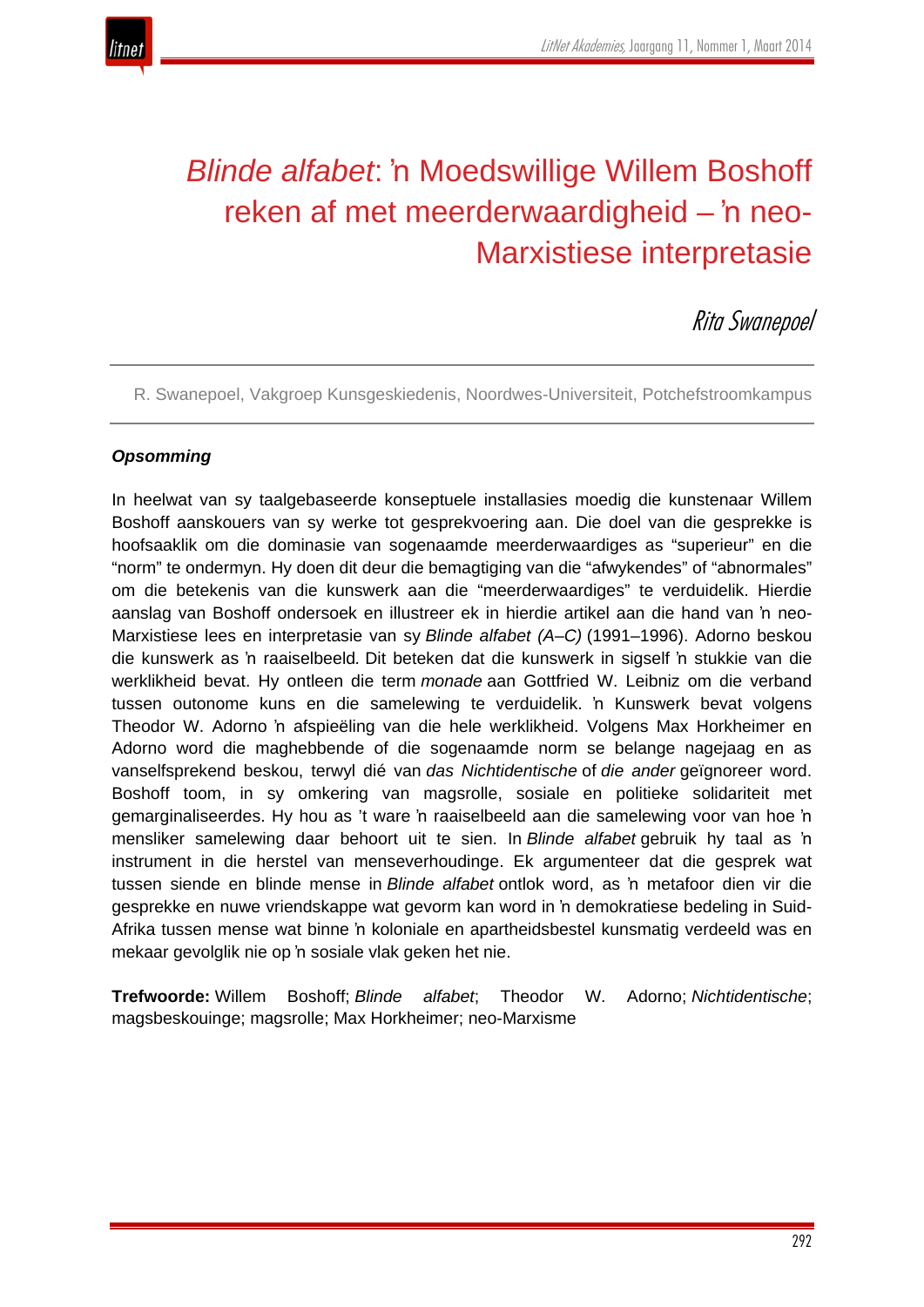

# *Blinde alfabet*: 'n Moedswillige Willem Boshoff reken af met meerderwaardigheid – 'n neo-Marxistiese interpretasie

Rita Swanepoel

R. Swanepoel, Vakgroep Kunsgeskiedenis, Noordwes-Universiteit, Potchefstroomkampus

## *Opsomming*

In heelwat van sy taalgebaseerde konseptuele installasies moedig die kunstenaar Willem Boshoff aanskouers van sy werke tot gesprekvoering aan. Die doel van die gesprekke is hoofsaaklik om die dominasie van sogenaamde meerderwaardiges as "superieur" en die "norm" te ondermyn. Hy doen dit deur die bemagtiging van die "afwykendes" of "abnormales" om die betekenis van die kunswerk aan die "meerderwaardiges" te verduidelik. Hierdie aanslag van Boshoff ondersoek en illustreer ek in hierdie artikel aan die hand van 'n neo-Marxistiese lees en interpretasie van sy *Blinde alfabet (A–C)* (1991–1996). Adorno beskou die kunswerk as 'n raaiselbeeld*.* Dit beteken dat die kunswerk in sigself 'n stukkie van die werklikheid bevat. Hy ontleen die term *monade* aan Gottfried W. Leibniz om die verband tussen outonome kuns en die samelewing te verduidelik. 'n Kunswerk bevat volgens Theodor W. Adorno 'n afspieëling van die hele werklikheid. Volgens Max Horkheimer en Adorno word die maghebbende of die sogenaamde norm se belange nagejaag en as vanselfsprekend beskou, terwyl dié van *das Nichtidentische* of *die ander* geïgnoreer word. Boshoff toom, in sy omkering van magsrolle, sosiale en politieke solidariteit met gemarginaliseerdes. Hy hou as 't ware 'n raaiselbeeld aan die samelewing voor van hoe 'n mensliker samelewing daar behoort uit te sien. In *Blinde alfabet* gebruik hy taal as 'n instrument in die herstel van menseverhoudinge. Ek argumenteer dat die gesprek wat tussen siende en blinde mense in *Blinde alfabet* ontlok word, as 'n metafoor dien vir die gesprekke en nuwe vriendskappe wat gevorm kan word in 'n demokratiese bedeling in Suid-Afrika tussen mense wat binne 'n koloniale en apartheidsbestel kunsmatig verdeeld was en mekaar gevolglik nie op 'n sosiale vlak geken het nie.

**Trefwoorde:** Willem Boshoff; *Blinde alfabet*; Theodor W. Adorno; *Nichtidentische*; magsbeskouinge; magsrolle; Max Horkheimer; neo-Marxisme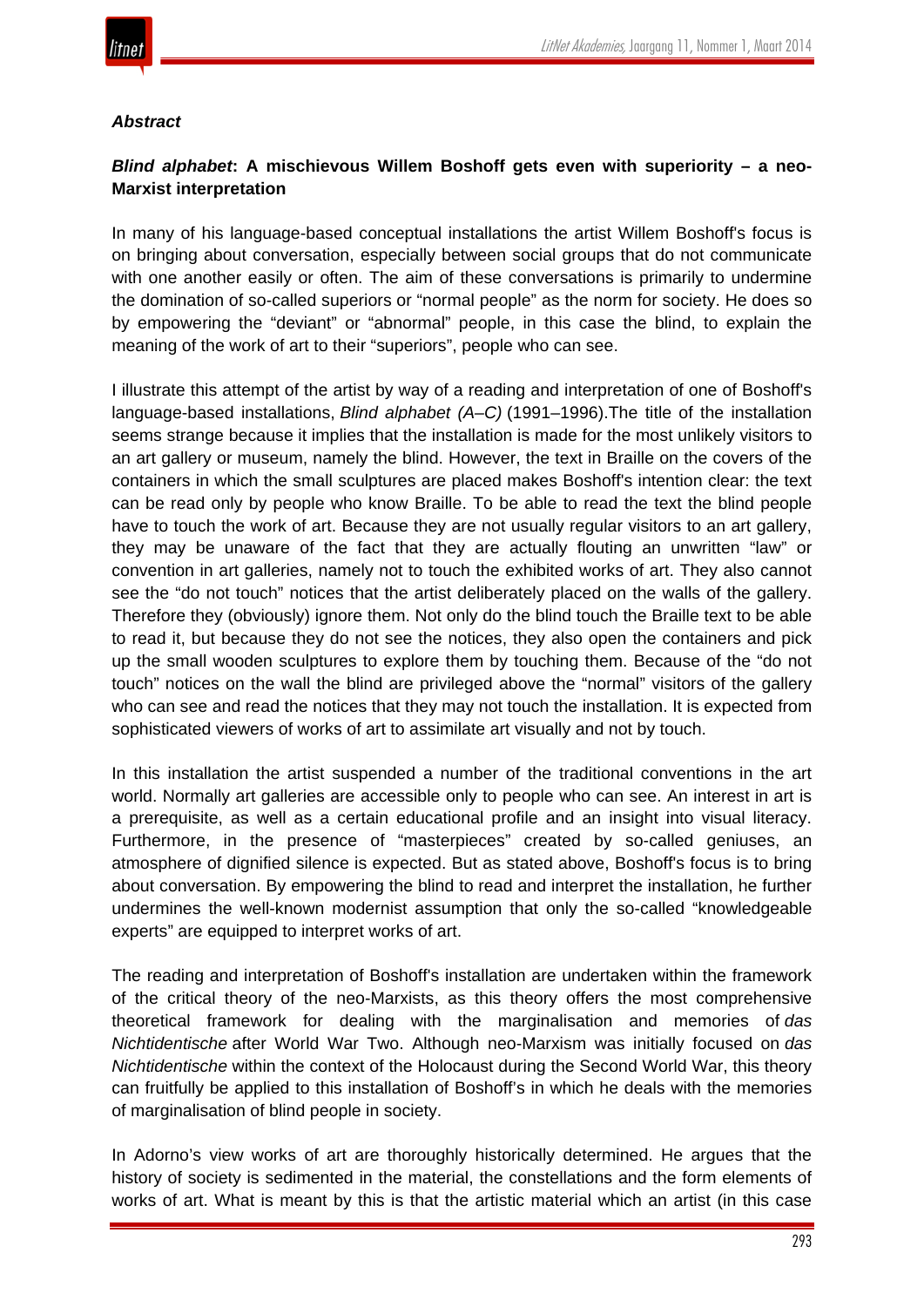

#### *Abstract*

# *Blind alphabet***: A mischievous Willem Boshoff gets even with superiority – a neo-Marxist interpretation**

In many of his language-based conceptual installations the artist Willem Boshoff's focus is on bringing about conversation, especially between social groups that do not communicate with one another easily or often. The aim of these conversations is primarily to undermine the domination of so-called superiors or "normal people" as the norm for society. He does so by empowering the "deviant" or "abnormal" people, in this case the blind, to explain the meaning of the work of art to their "superiors", people who can see.

I illustrate this attempt of the artist by way of a reading and interpretation of one of Boshoff's language-based installations, *Blind alphabet (A–C)* (1991–1996).The title of the installation seems strange because it implies that the installation is made for the most unlikely visitors to an art gallery or museum, namely the blind. However, the text in Braille on the covers of the containers in which the small sculptures are placed makes Boshoff's intention clear: the text can be read only by people who know Braille. To be able to read the text the blind people have to touch the work of art. Because they are not usually regular visitors to an art gallery, they may be unaware of the fact that they are actually flouting an unwritten "law" or convention in art galleries, namely not to touch the exhibited works of art. They also cannot see the "do not touch" notices that the artist deliberately placed on the walls of the gallery. Therefore they (obviously) ignore them. Not only do the blind touch the Braille text to be able to read it, but because they do not see the notices, they also open the containers and pick up the small wooden sculptures to explore them by touching them. Because of the "do not touch" notices on the wall the blind are privileged above the "normal" visitors of the gallery who can see and read the notices that they may not touch the installation. It is expected from sophisticated viewers of works of art to assimilate art visually and not by touch.

In this installation the artist suspended a number of the traditional conventions in the art world. Normally art galleries are accessible only to people who can see. An interest in art is a prerequisite, as well as a certain educational profile and an insight into visual literacy. Furthermore, in the presence of "masterpieces" created by so-called geniuses, an atmosphere of dignified silence is expected. But as stated above, Boshoff's focus is to bring about conversation. By empowering the blind to read and interpret the installation, he further undermines the well-known modernist assumption that only the so-called "knowledgeable experts" are equipped to interpret works of art.

The reading and interpretation of Boshoff's installation are undertaken within the framework of the critical theory of the neo-Marxists, as this theory offers the most comprehensive theoretical framework for dealing with the marginalisation and memories of *das Nichtidentische* after World War Two. Although neo-Marxism was initially focused on *das Nichtidentische* within the context of the Holocaust during the Second World War, this theory can fruitfully be applied to this installation of Boshoff's in which he deals with the memories of marginalisation of blind people in society.

In Adorno's view works of art are thoroughly historically determined. He argues that the history of society is sedimented in the material, the constellations and the form elements of works of art. What is meant by this is that the artistic material which an artist (in this case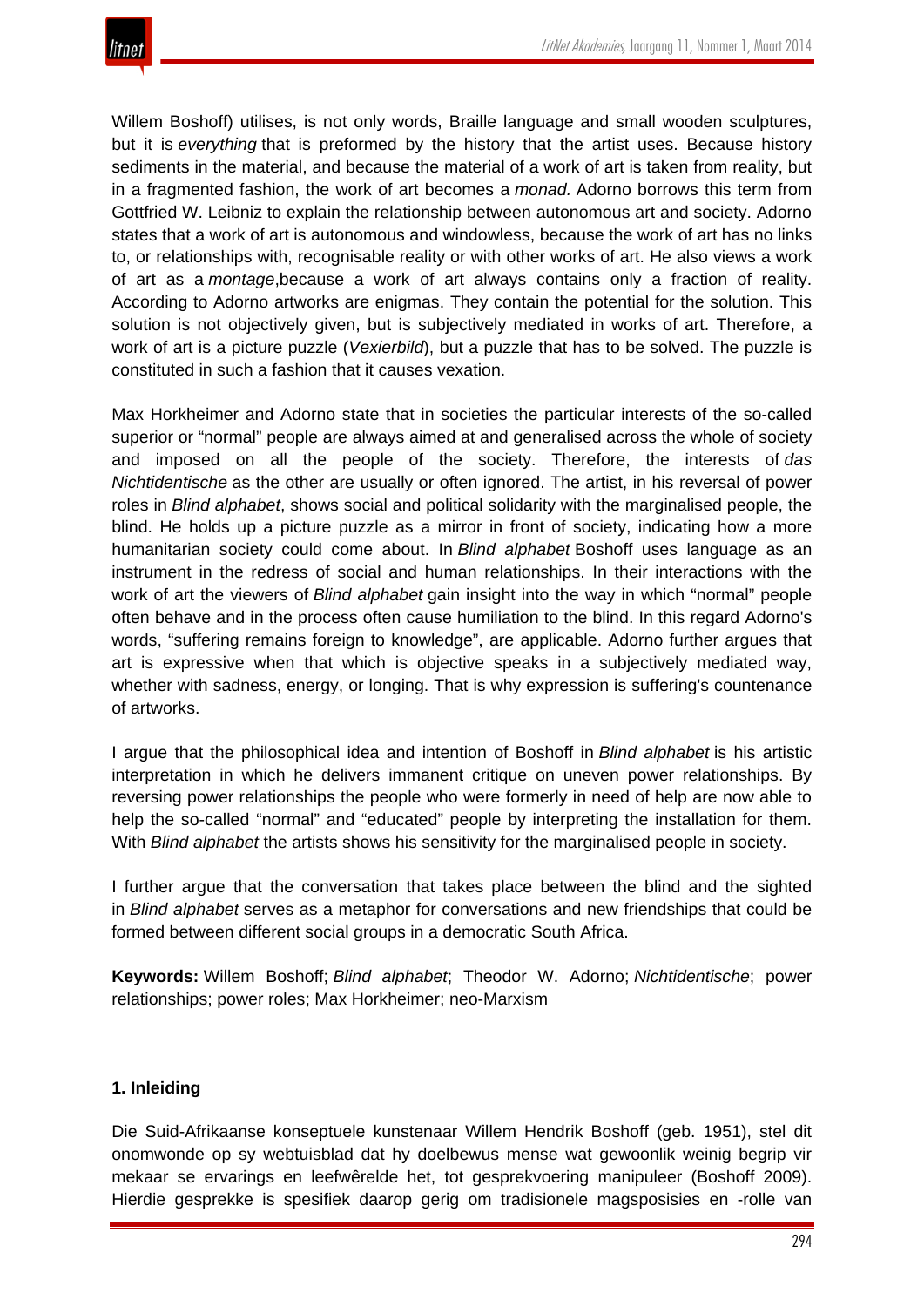

Willem Boshoff) utilises, is not only words, Braille language and small wooden sculptures, but it is *everything* that is preformed by the history that the artist uses. Because history sediments in the material, and because the material of a work of art is taken from reality, but in a fragmented fashion, the work of art becomes a *monad.* Adorno borrows this term from Gottfried W. Leibniz to explain the relationship between autonomous art and society. Adorno states that a work of art is autonomous and windowless, because the work of art has no links to, or relationships with, recognisable reality or with other works of art. He also views a work of art as a *montage*,because a work of art always contains only a fraction of reality. According to Adorno artworks are enigmas. They contain the potential for the solution. This solution is not objectively given, but is subjectively mediated in works of art. Therefore, a work of art is a picture puzzle (*Vexierbild*), but a puzzle that has to be solved. The puzzle is constituted in such a fashion that it causes vexation.

Max Horkheimer and Adorno state that in societies the particular interests of the so-called superior or "normal" people are always aimed at and generalised across the whole of society and imposed on all the people of the society. Therefore, the interests of *das Nichtidentische* as the other are usually or often ignored. The artist, in his reversal of power roles in *Blind alphabet*, shows social and political solidarity with the marginalised people, the blind. He holds up a picture puzzle as a mirror in front of society, indicating how a more humanitarian society could come about. In *Blind alphabet* Boshoff uses language as an instrument in the redress of social and human relationships. In their interactions with the work of art the viewers of *Blind alphabet* gain insight into the way in which "normal" people often behave and in the process often cause humiliation to the blind. In this regard Adorno's words, "suffering remains foreign to knowledge", are applicable. Adorno further argues that art is expressive when that which is objective speaks in a subjectively mediated way, whether with sadness, energy, or longing. That is why expression is suffering's countenance of artworks.

I argue that the philosophical idea and intention of Boshoff in *Blind alphabet* is his artistic interpretation in which he delivers immanent critique on uneven power relationships. By reversing power relationships the people who were formerly in need of help are now able to help the so-called "normal" and "educated" people by interpreting the installation for them. With *Blind alphabet* the artists shows his sensitivity for the marginalised people in society.

I further argue that the conversation that takes place between the blind and the sighted in *Blind alphabet* serves as a metaphor for conversations and new friendships that could be formed between different social groups in a democratic South Africa.

**Keywords:** Willem Boshoff; *Blind alphabet*; Theodor W. Adorno; *Nichtidentische*; power relationships; power roles; Max Horkheimer; neo-Marxism

## **1. Inleiding**

Die Suid-Afrikaanse konseptuele kunstenaar Willem Hendrik Boshoff (geb. 1951), stel dit onomwonde op sy webtuisblad dat hy doelbewus mense wat gewoonlik weinig begrip vir mekaar se ervarings en leefwêrelde het, tot gesprekvoering manipuleer (Boshoff 2009). Hierdie gesprekke is spesifiek daarop gerig om tradisionele magsposisies en -rolle van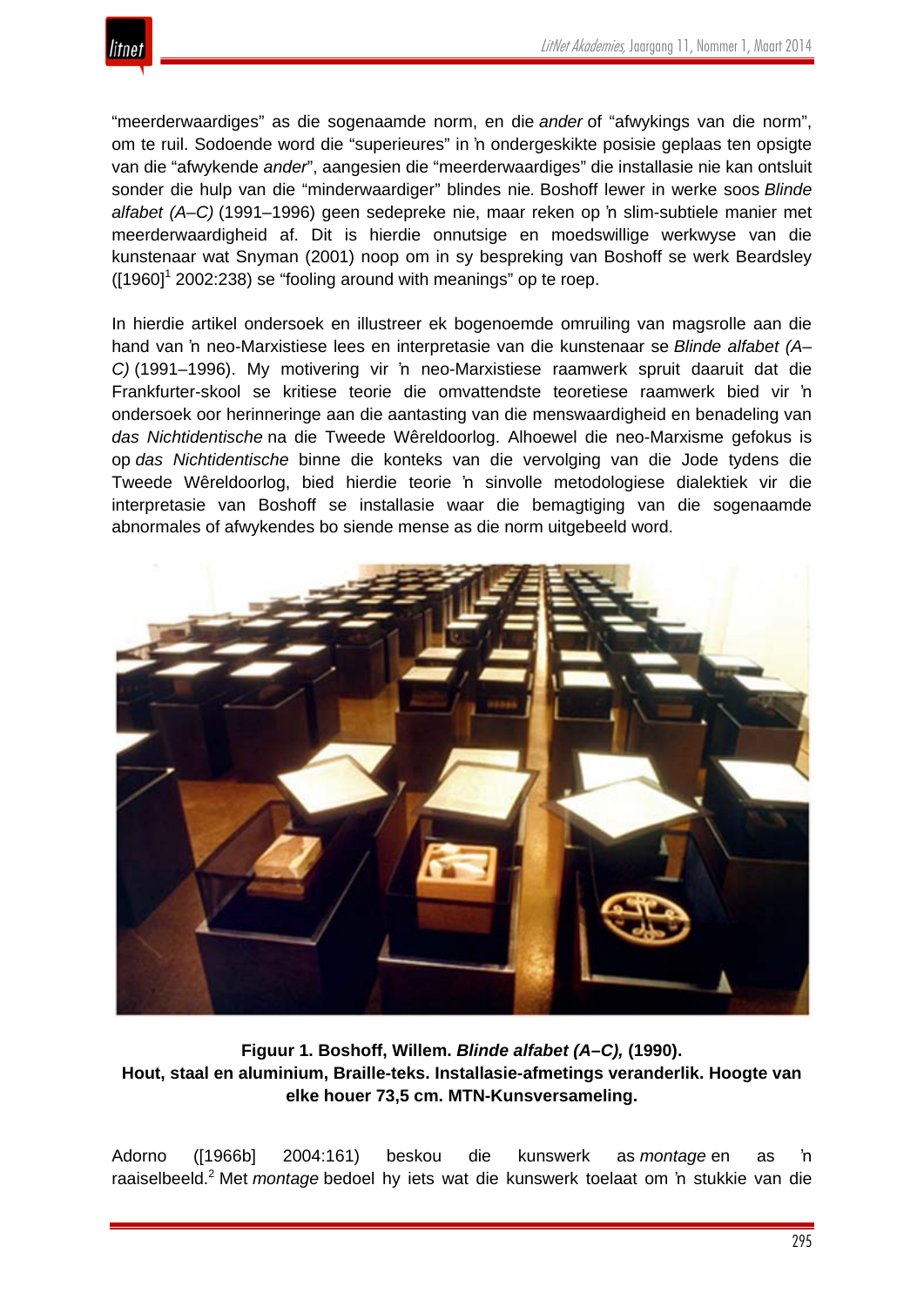

"meerderwaardiges" as die sogenaamde norm, en die *ander* of "afwykings van die norm", om te ruil. Sodoende word die "superieures" in 'n ondergeskikte posisie geplaas ten opsigte van die "afwykende *ander*", aangesien die "meerderwaardiges" die installasie nie kan ontsluit sonder die hulp van die "minderwaardiger" blindes nie*.* Boshoff lewer in werke soos *Blinde alfabet (A–C)* (1991–1996) geen sedepreke nie, maar reken op 'n slim-subtiele manier met meerderwaardigheid af. Dit is hierdie onnutsige en moedswillige werkwyse van die kunstenaar wat Snyman (2001) noop om in sy bespreking van Boshoff se werk Beardsley  $(1960)^1$  2002:238) se "fooling around with meanings" op te roep.

In hierdie artikel ondersoek en illustreer ek bogenoemde omruiling van magsrolle aan die hand van 'n neo-Marxistiese lees en interpretasie van die kunstenaar se *Blinde alfabet (A– C)* (1991–1996). My motivering vir 'n neo-Marxistiese raamwerk spruit daaruit dat die Frankfurter-skool se kritiese teorie die omvattendste teoretiese raamwerk bied vir 'n ondersoek oor herinneringe aan die aantasting van die menswaardigheid en benadeling van *das Nichtidentische* na die Tweede Wêreldoorlog. Alhoewel die neo-Marxisme gefokus is op *das Nichtidentische* binne die konteks van die vervolging van die Jode tydens die Tweede Wêreldoorlog, bied hierdie teorie 'n sinvolle metodologiese dialektiek vir die interpretasie van Boshoff se installasie waar die bemagtiging van die sogenaamde abnormales of afwykendes bo siende mense as die norm uitgebeeld word.



**Figuur 1. Boshoff, Willem.** *Blinde alfabet (A–C),* **(1990). Hout, staal en aluminium, Braille-teks. Installasie-afmetings veranderlik. Hoogte van elke houer 73,5 cm. MTN-Kunsversameling.**

Adorno ([1966b] 2004:161) beskou die kunswerk as *montage* en as 'n raaiselbeeld.<sup>2</sup> Met *montage* bedoel hy iets wat die kunswerk toelaat om 'n stukkie van die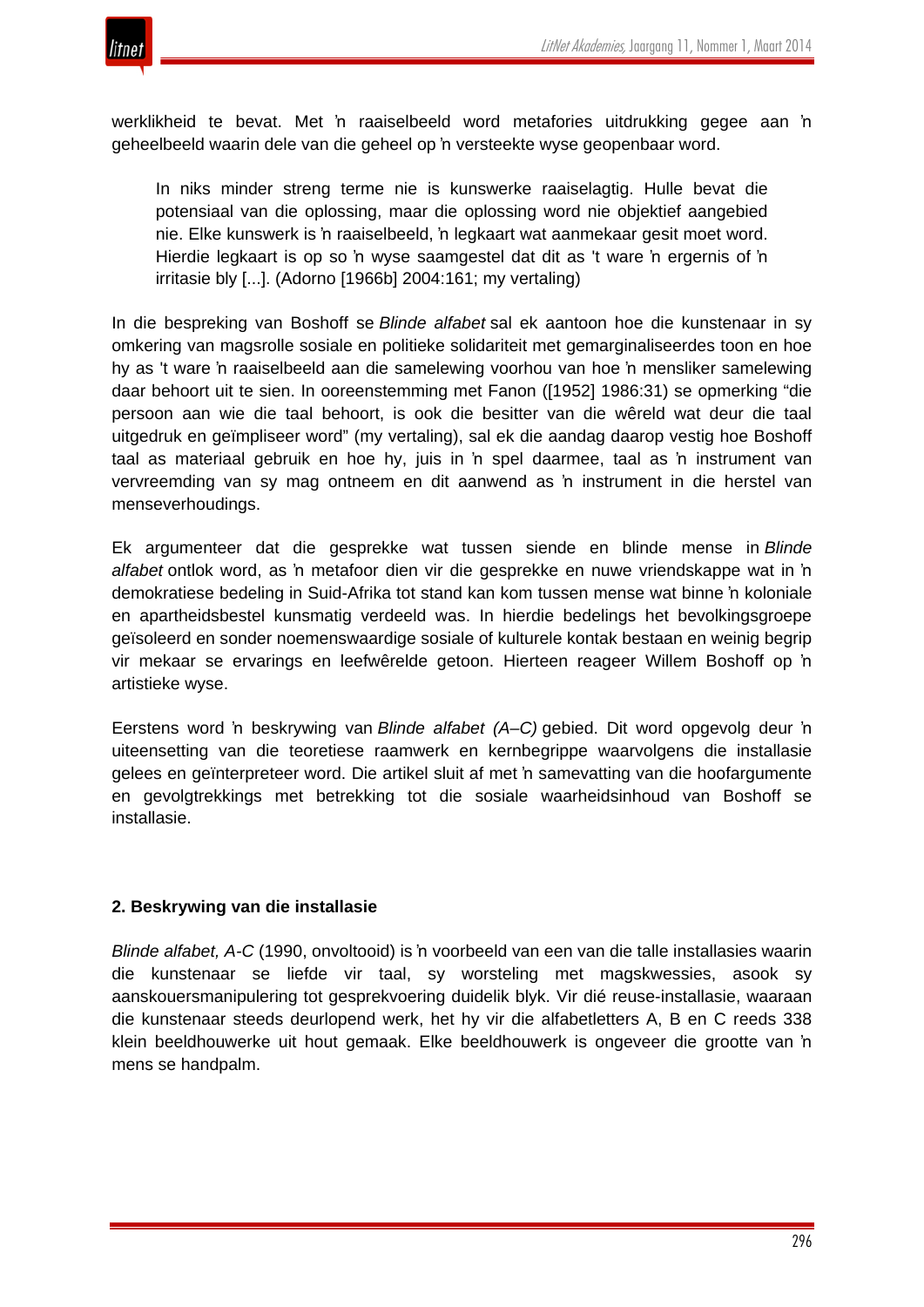

werklikheid te bevat. Met 'n raaiselbeeld word metafories uitdrukking gegee aan 'n geheelbeeld waarin dele van die geheel op 'n versteekte wyse geopenbaar word.

In niks minder streng terme nie is kunswerke raaiselagtig. Hulle bevat die potensiaal van die oplossing, maar die oplossing word nie objektief aangebied nie. Elke kunswerk is 'n raaiselbeeld, 'n legkaart wat aanmekaar gesit moet word. Hierdie legkaart is op so 'n wyse saamgestel dat dit as 't ware 'n ergernis of 'n irritasie bly [...]. (Adorno [1966b] 2004:161; my vertaling)

In die bespreking van Boshoff se *Blinde alfabet* sal ek aantoon hoe die kunstenaar in sy omkering van magsrolle sosiale en politieke solidariteit met gemarginaliseerdes toon en hoe hy as 't ware 'n raaiselbeeld aan die samelewing voorhou van hoe 'n mensliker samelewing daar behoort uit te sien. In ooreenstemming met Fanon ([1952] 1986:31) se opmerking "die persoon aan wie die taal behoort, is ook die besitter van die wêreld wat deur die taal uitgedruk en geïmpliseer word" (my vertaling), sal ek die aandag daarop vestig hoe Boshoff taal as materiaal gebruik en hoe hy, juis in 'n spel daarmee, taal as 'n instrument van vervreemding van sy mag ontneem en dit aanwend as 'n instrument in die herstel van menseverhoudings.

Ek argumenteer dat die gesprekke wat tussen siende en blinde mense in *Blinde alfabet* ontlok word, as 'n metafoor dien vir die gesprekke en nuwe vriendskappe wat in 'n demokratiese bedeling in Suid-Afrika tot stand kan kom tussen mense wat binne 'n koloniale en apartheidsbestel kunsmatig verdeeld was. In hierdie bedelings het bevolkingsgroepe geïsoleerd en sonder noemenswaardige sosiale of kulturele kontak bestaan en weinig begrip vir mekaar se ervarings en leefwêrelde getoon. Hierteen reageer Willem Boshoff op 'n artistieke wyse.

Eerstens word 'n beskrywing van *Blinde alfabet (A–C)* gebied. Dit word opgevolg deur 'n uiteensetting van die teoretiese raamwerk en kernbegrippe waarvolgens die installasie gelees en geïnterpreteer word. Die artikel sluit af met 'n samevatting van die hoofargumente en gevolgtrekkings met betrekking tot die sosiale waarheidsinhoud van Boshoff se installasie.

## **2. Beskrywing van die installasie**

*Blinde alfabet, A-C* (1990, onvoltooid) is 'n voorbeeld van een van die talle installasies waarin die kunstenaar se liefde vir taal, sy worsteling met magskwessies, asook sy aanskouersmanipulering tot gesprekvoering duidelik blyk. Vir dié reuse-installasie, waaraan die kunstenaar steeds deurlopend werk, het hy vir die alfabetletters A, B en C reeds 338 klein beeldhouwerke uit hout gemaak. Elke beeldhouwerk is ongeveer die grootte van 'n mens se handpalm.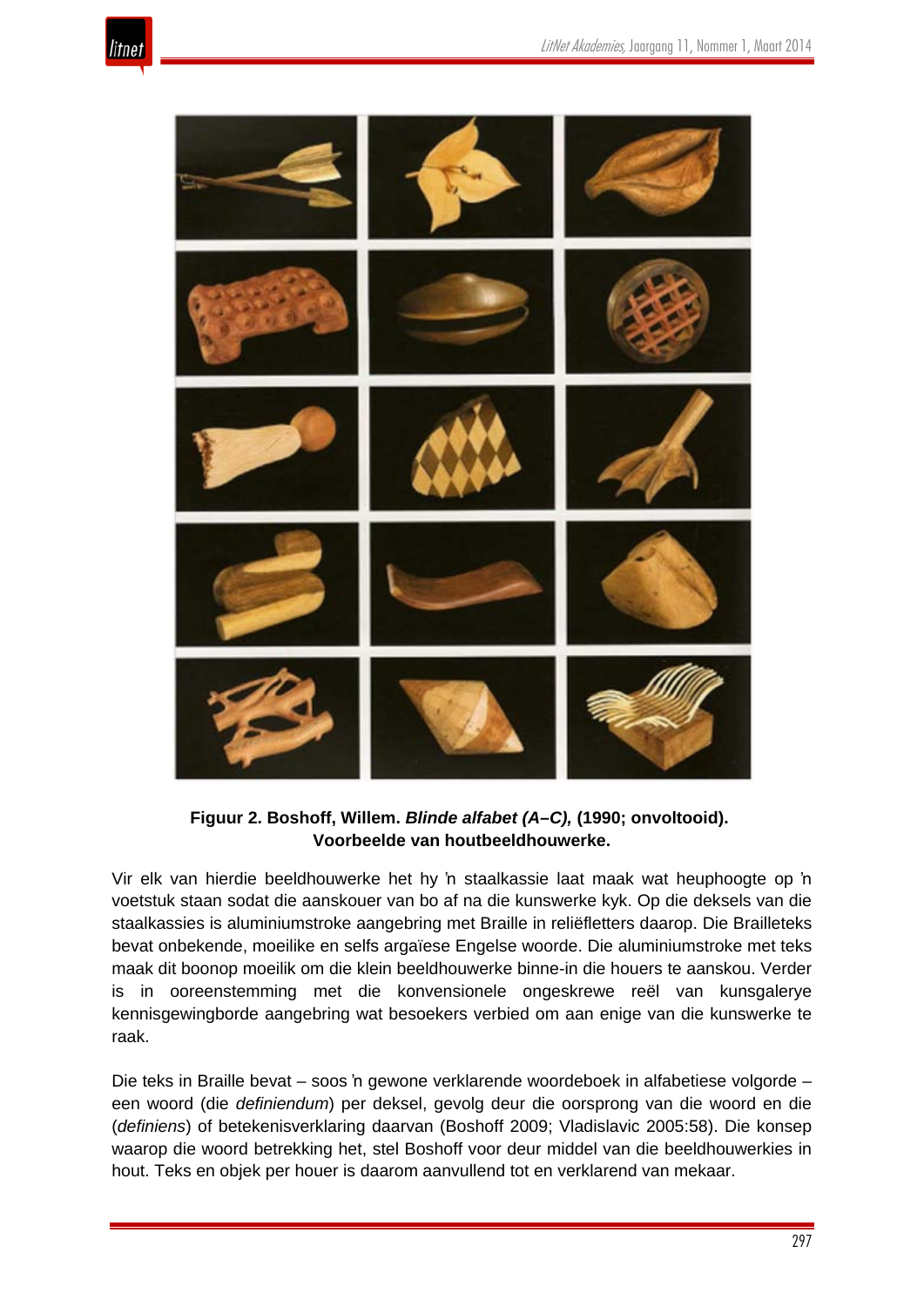



**Figuur 2. Boshoff, Willem.** *Blinde alfabet (A–C),* **(1990; onvoltooid). Voorbeelde van houtbeeldhouwerke.**

Vir elk van hierdie beeldhouwerke het hy 'n staalkassie laat maak wat heuphoogte op 'n voetstuk staan sodat die aanskouer van bo af na die kunswerke kyk. Op die deksels van die staalkassies is aluminiumstroke aangebring met Braille in reliëfletters daarop. Die Brailleteks bevat onbekende, moeilike en selfs argaïese Engelse woorde. Die aluminiumstroke met teks maak dit boonop moeilik om die klein beeldhouwerke binne-in die houers te aanskou. Verder is in ooreenstemming met die konvensionele ongeskrewe reël van kunsgalerye kennisgewingborde aangebring wat besoekers verbied om aan enige van die kunswerke te raak.

Die teks in Braille bevat – soos 'n gewone verklarende woordeboek in alfabetiese volgorde – een woord (die *definiendum*) per deksel, gevolg deur die oorsprong van die woord en die (*definiens*) of betekenisverklaring daarvan (Boshoff 2009; Vladislavic 2005:58). Die konsep waarop die woord betrekking het, stel Boshoff voor deur middel van die beeldhouwerkies in hout. Teks en objek per houer is daarom aanvullend tot en verklarend van mekaar.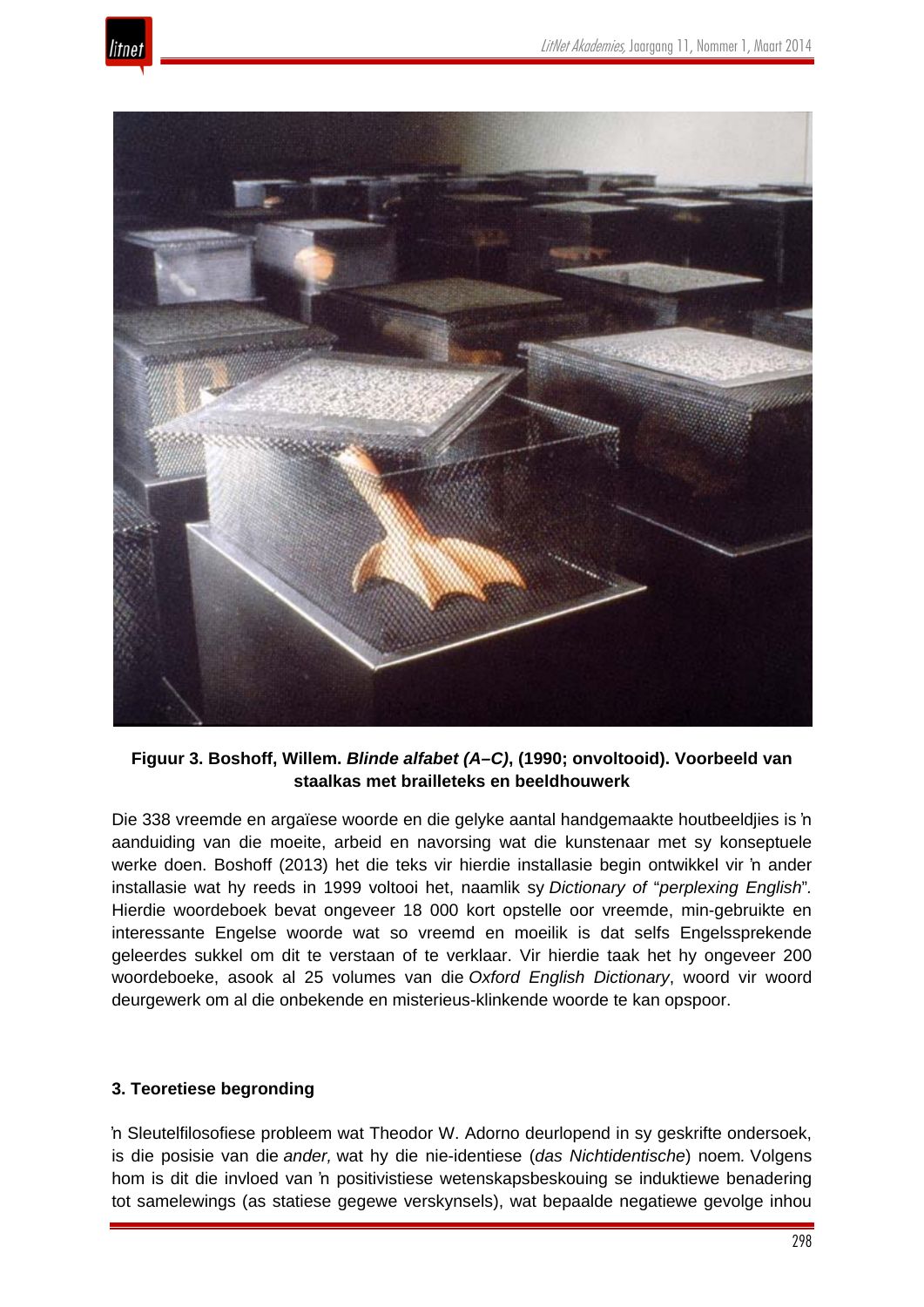



**Figuur 3. Boshoff, Willem.** *Blinde alfabet (A–C)***, (1990; onvoltooid). Voorbeeld van staalkas met brailleteks en beeldhouwerk**

Die 338 vreemde en argaïese woorde en die gelyke aantal handgemaakte houtbeeldjies is 'n aanduiding van die moeite, arbeid en navorsing wat die kunstenaar met sy konseptuele werke doen. Boshoff (2013) het die teks vir hierdie installasie begin ontwikkel vir 'n ander installasie wat hy reeds in 1999 voltooi het, naamlik sy *Dictionary of* "*perplexing English*"*.* Hierdie woordeboek bevat ongeveer 18 000 kort opstelle oor vreemde, min-gebruikte en interessante Engelse woorde wat so vreemd en moeilik is dat selfs Engelssprekende geleerdes sukkel om dit te verstaan of te verklaar. Vir hierdie taak het hy ongeveer 200 woordeboeke, asook al 25 volumes van die *Oxford English Dictionary*, woord vir woord deurgewerk om al die onbekende en misterieus-klinkende woorde te kan opspoor.

## **3. Teoretiese begronding**

'n Sleutelfilosofiese probleem wat Theodor W. Adorno deurlopend in sy geskrifte ondersoek, is die posisie van die *ander,* wat hy die nie-identiese (*das Nichtidentische*) noem*.* Volgens hom is dit die invloed van 'n positivistiese wetenskapsbeskouing se induktiewe benadering tot samelewings (as statiese gegewe verskynsels), wat bepaalde negatiewe gevolge inhou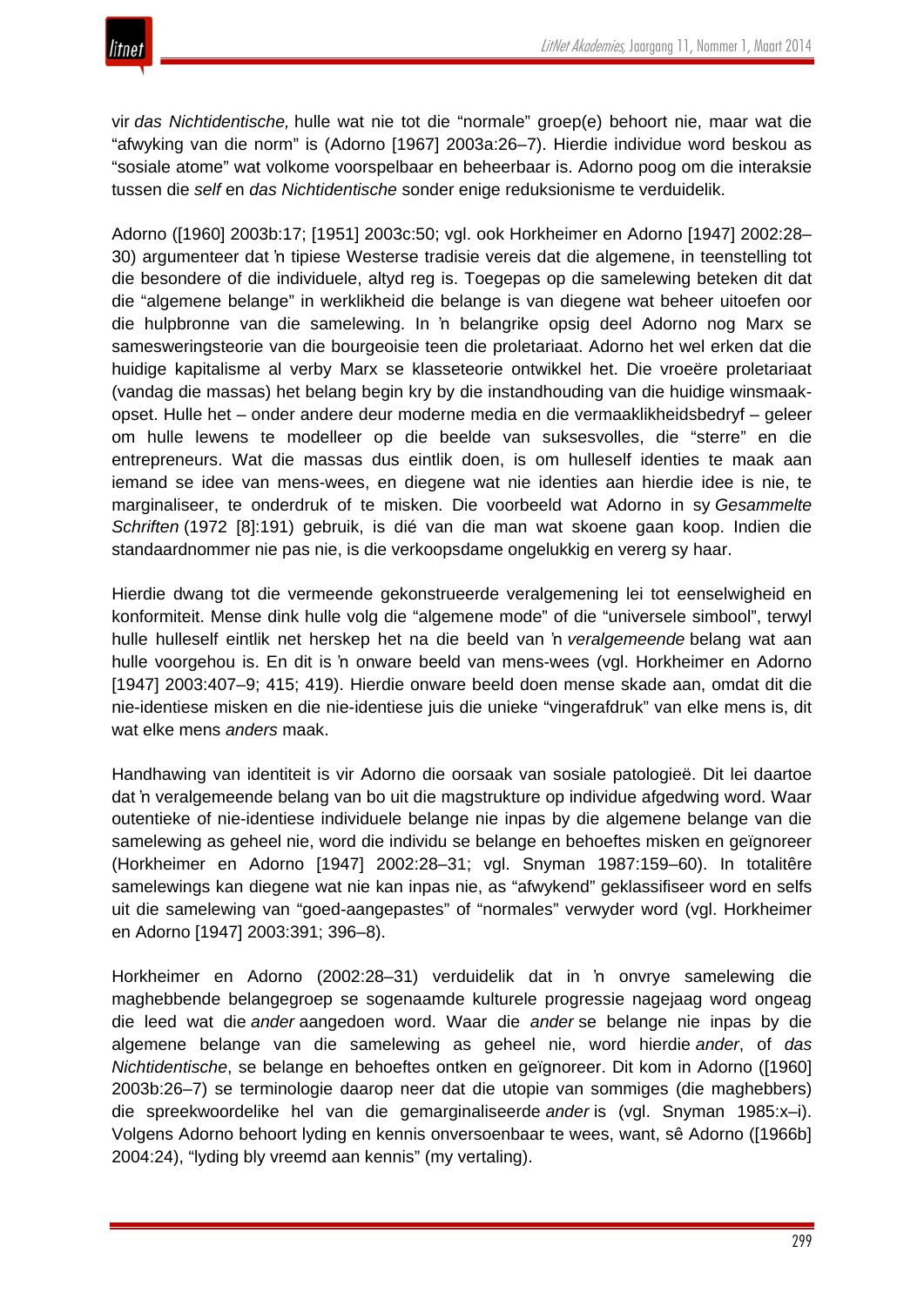vir *das Nichtidentische,* hulle wat nie tot die "normale" groep(e) behoort nie, maar wat die "afwyking van die norm" is (Adorno [1967] 2003a:26–7). Hierdie individue word beskou as "sosiale atome" wat volkome voorspelbaar en beheerbaar is. Adorno poog om die interaksie tussen die *self* en *das Nichtidentische* sonder enige reduksionisme te verduidelik.

Adorno ([1960] 2003b:17; [1951] 2003c:50; vgl. ook Horkheimer en Adorno [1947] 2002:28– 30) argumenteer dat 'n tipiese Westerse tradisie vereis dat die algemene, in teenstelling tot die besondere of die individuele, altyd reg is. Toegepas op die samelewing beteken dit dat die "algemene belange" in werklikheid die belange is van diegene wat beheer uitoefen oor die hulpbronne van die samelewing. In 'n belangrike opsig deel Adorno nog Marx se samesweringsteorie van die bourgeoisie teen die proletariaat. Adorno het wel erken dat die huidige kapitalisme al verby Marx se klasseteorie ontwikkel het. Die vroeëre proletariaat (vandag die massas) het belang begin kry by die instandhouding van die huidige winsmaakopset. Hulle het – onder andere deur moderne media en die vermaaklikheidsbedryf – geleer om hulle lewens te modelleer op die beelde van suksesvolles, die "sterre" en die entrepreneurs. Wat die massas dus eintlik doen, is om hulleself identies te maak aan iemand se idee van mens-wees, en diegene wat nie identies aan hierdie idee is nie, te marginaliseer, te onderdruk of te misken. Die voorbeeld wat Adorno in sy *Gesammelte Schriften* (1972 [8]:191) gebruik, is dié van die man wat skoene gaan koop. Indien die standaardnommer nie pas nie, is die verkoopsdame ongelukkig en vererg sy haar.

Hierdie dwang tot die vermeende gekonstrueerde veralgemening lei tot eenselwigheid en konformiteit. Mense dink hulle volg die "algemene mode" of die "universele simbool", terwyl hulle hulleself eintlik net herskep het na die beeld van 'n *veralgemeende* belang wat aan hulle voorgehou is. En dit is 'n onware beeld van mens-wees (vgl. Horkheimer en Adorno [1947] 2003:407–9; 415; 419). Hierdie onware beeld doen mense skade aan, omdat dit die nie-identiese misken en die nie-identiese juis die unieke "vingerafdruk" van elke mens is, dit wat elke mens *anders* maak.

Handhawing van identiteit is vir Adorno die oorsaak van sosiale patologieë. Dit lei daartoe dat 'n veralgemeende belang van bo uit die magstrukture op individue afgedwing word. Waar outentieke of nie-identiese individuele belange nie inpas by die algemene belange van die samelewing as geheel nie, word die individu se belange en behoeftes misken en geïgnoreer (Horkheimer en Adorno [1947] 2002:28–31; vgl. Snyman 1987:159–60). In totalitêre samelewings kan diegene wat nie kan inpas nie, as "afwykend" geklassifiseer word en selfs uit die samelewing van "goed-aangepastes" of "normales" verwyder word (vgl. Horkheimer en Adorno [1947] 2003:391; 396–8).

Horkheimer en Adorno (2002:28–31) verduidelik dat in 'n onvrye samelewing die maghebbende belangegroep se sogenaamde kulturele progressie nagejaag word ongeag die leed wat die *ander* aangedoen word. Waar die *ander* se belange nie inpas by die algemene belange van die samelewing as geheel nie, word hierdie *ander*, of *das Nichtidentische*, se belange en behoeftes ontken en geïgnoreer. Dit kom in Adorno ([1960] 2003b:26–7) se terminologie daarop neer dat die utopie van sommiges (die maghebbers) die spreekwoordelike hel van die gemarginaliseerde *ander* is (vgl. Snyman 1985:x–i). Volgens Adorno behoort lyding en kennis onversoenbaar te wees, want, sê Adorno ([1966b] 2004:24), "lyding bly vreemd aan kennis" (my vertaling).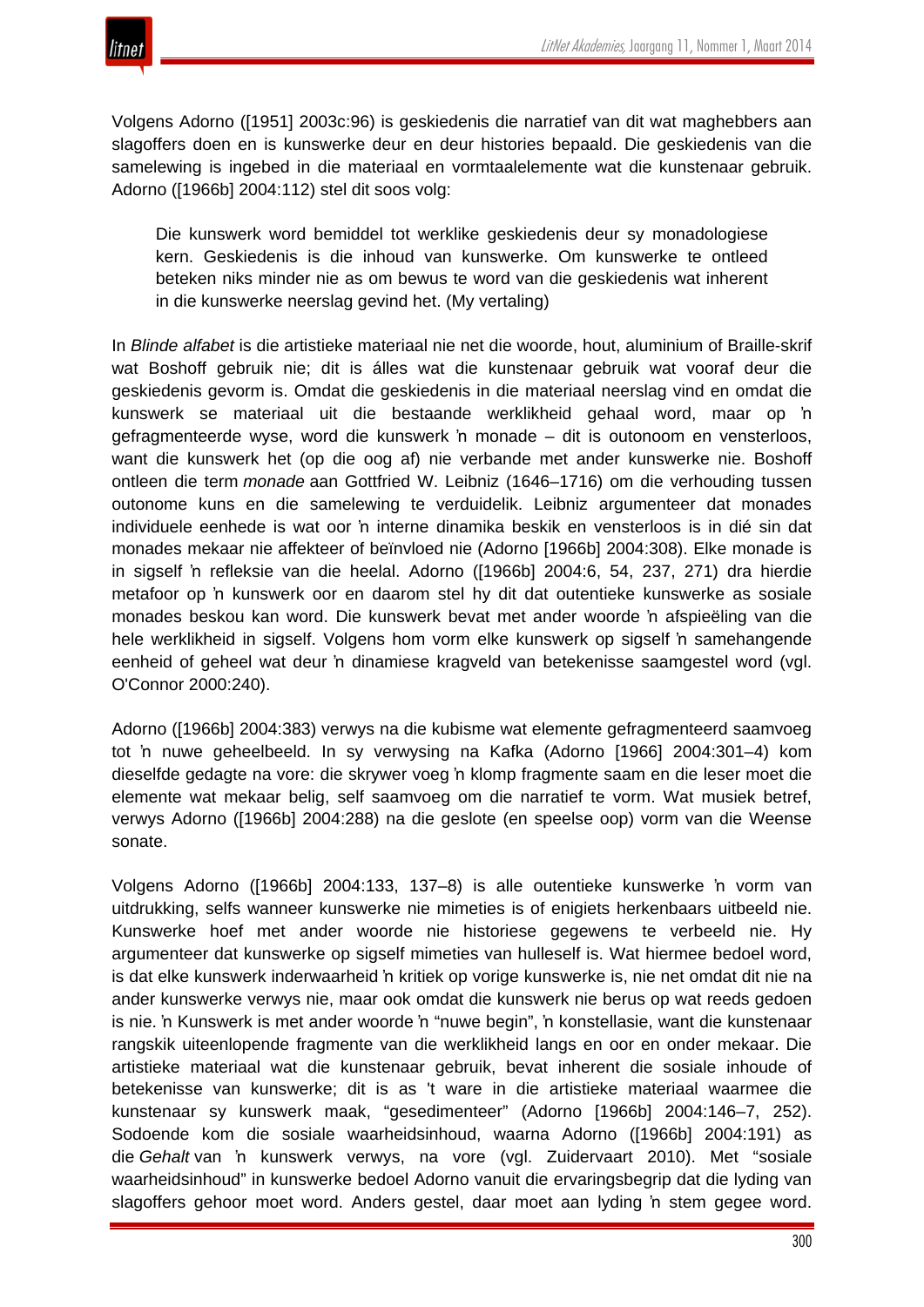

Volgens Adorno ([1951] 2003c:96) is geskiedenis die narratief van dit wat maghebbers aan slagoffers doen en is kunswerke deur en deur histories bepaald. Die geskiedenis van die samelewing is ingebed in die materiaal en vormtaalelemente wat die kunstenaar gebruik. Adorno ([1966b] 2004:112) stel dit soos volg:

Die kunswerk word bemiddel tot werklike geskiedenis deur sy monadologiese kern. Geskiedenis is die inhoud van kunswerke. Om kunswerke te ontleed beteken niks minder nie as om bewus te word van die geskiedenis wat inherent in die kunswerke neerslag gevind het. (My vertaling)

In *Blinde alfabet* is die artistieke materiaal nie net die woorde, hout, aluminium of Braille-skrif wat Boshoff gebruik nie; dit is álles wat die kunstenaar gebruik wat vooraf deur die geskiedenis gevorm is. Omdat die geskiedenis in die materiaal neerslag vind en omdat die kunswerk se materiaal uit die bestaande werklikheid gehaal word, maar op 'n gefragmenteerde wyse, word die kunswerk 'n monade – dit is outonoom en vensterloos, want die kunswerk het (op die oog af) nie verbande met ander kunswerke nie. Boshoff ontleen die term *monade* aan Gottfried W. Leibniz (1646–1716) om die verhouding tussen outonome kuns en die samelewing te verduidelik. Leibniz argumenteer dat monades individuele eenhede is wat oor 'n interne dinamika beskik en vensterloos is in dié sin dat monades mekaar nie affekteer of beïnvloed nie (Adorno [1966b] 2004:308). Elke monade is in sigself 'n refleksie van die heelal. Adorno ([1966b] 2004:6, 54, 237, 271) dra hierdie metafoor op 'n kunswerk oor en daarom stel hy dit dat outentieke kunswerke as sosiale monades beskou kan word. Die kunswerk bevat met ander woorde 'n afspieëling van die hele werklikheid in sigself. Volgens hom vorm elke kunswerk op sigself 'n samehangende eenheid of geheel wat deur 'n dinamiese kragveld van betekenisse saamgestel word (vgl. O'Connor 2000:240).

Adorno ([1966b] 2004:383) verwys na die kubisme wat elemente gefragmenteerd saamvoeg tot 'n nuwe geheelbeeld. In sy verwysing na Kafka (Adorno [1966] 2004:301–4) kom dieselfde gedagte na vore: die skrywer voeg 'n klomp fragmente saam en die leser moet die elemente wat mekaar belig, self saamvoeg om die narratief te vorm. Wat musiek betref, verwys Adorno ([1966b] 2004:288) na die geslote (en speelse oop) vorm van die Weense sonate.

Volgens Adorno ([1966b] 2004:133, 137–8) is alle outentieke kunswerke 'n vorm van uitdrukking, selfs wanneer kunswerke nie mimeties is of enigiets herkenbaars uitbeeld nie. Kunswerke hoef met ander woorde nie historiese gegewens te verbeeld nie. Hy argumenteer dat kunswerke op sigself mimeties van hulleself is. Wat hiermee bedoel word, is dat elke kunswerk inderwaarheid 'n kritiek op vorige kunswerke is, nie net omdat dit nie na ander kunswerke verwys nie, maar ook omdat die kunswerk nie berus op wat reeds gedoen is nie. 'n Kunswerk is met ander woorde 'n "nuwe begin", 'n konstellasie, want die kunstenaar rangskik uiteenlopende fragmente van die werklikheid langs en oor en onder mekaar. Die artistieke materiaal wat die kunstenaar gebruik, bevat inherent die sosiale inhoude of betekenisse van kunswerke; dit is as 't ware in die artistieke materiaal waarmee die kunstenaar sy kunswerk maak, "gesedimenteer" (Adorno [1966b] 2004:146–7, 252). Sodoende kom die sosiale waarheidsinhoud, waarna Adorno ([1966b] 2004:191) as die *Gehalt* van 'n kunswerk verwys, na vore (vgl. Zuidervaart 2010). Met "sosiale waarheidsinhoud" in kunswerke bedoel Adorno vanuit die ervaringsbegrip dat die lyding van slagoffers gehoor moet word. Anders gestel, daar moet aan lyding 'n stem gegee word.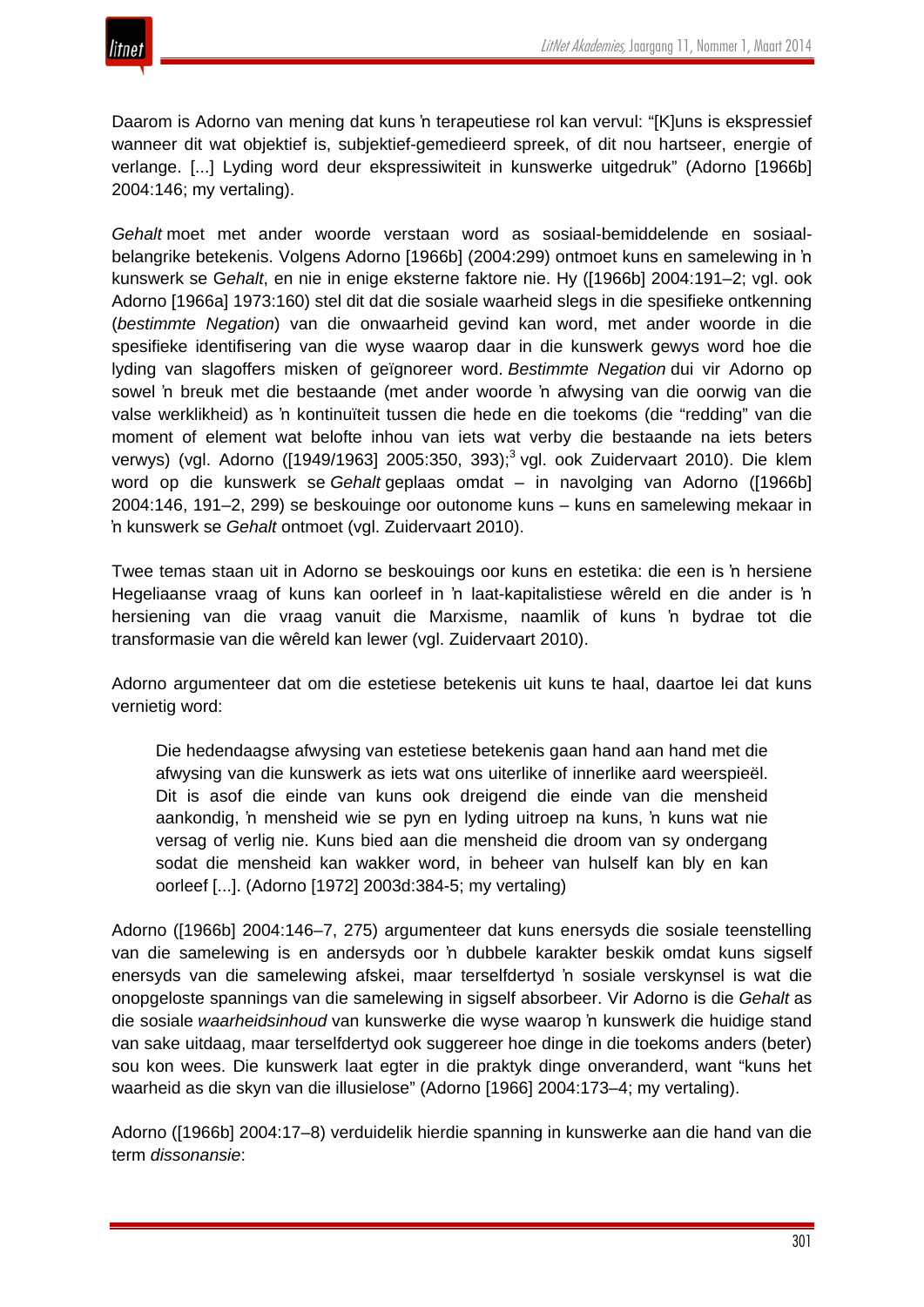

Daarom is Adorno van mening dat kuns 'n terapeutiese rol kan vervul: "[K]uns is ekspressief wanneer dit wat objektief is, subjektief-gemedieerd spreek, of dit nou hartseer, energie of verlange. [...] Lyding word deur ekspressiwiteit in kunswerke uitgedruk" (Adorno [1966b] 2004:146; my vertaling).

*Gehalt* moet met ander woorde verstaan word as sosiaal-bemiddelende en sosiaalbelangrike betekenis. Volgens Adorno [1966b] (2004:299) ontmoet kuns en samelewing in 'n kunswerk se G*ehalt*, en nie in enige eksterne faktore nie. Hy ([1966b] 2004:191–2; vgl. ook Adorno [1966a] 1973:160) stel dit dat die sosiale waarheid slegs in die spesifieke ontkenning (*bestimmte Negation*) van die onwaarheid gevind kan word, met ander woorde in die spesifieke identifisering van die wyse waarop daar in die kunswerk gewys word hoe die lyding van slagoffers misken of geïgnoreer word. *Bestimmte Negation* dui vir Adorno op sowel 'n breuk met die bestaande (met ander woorde 'n afwysing van die oorwig van die valse werklikheid) as 'n kontinuïteit tussen die hede en die toekoms (die "redding" van die moment of element wat belofte inhou van iets wat verby die bestaande na iets beters verwys) (vgl. Adorno ([1949/1963] 2005:350, 393);<sup>3</sup> vgl. ook Zuidervaart 2010). Die klem word op die kunswerk se *Gehalt* geplaas omdat – in navolging van Adorno ([1966b] 2004:146, 191–2, 299) se beskouinge oor outonome kuns – kuns en samelewing mekaar in 'n kunswerk se *Gehalt* ontmoet (vgl. Zuidervaart 2010).

Twee temas staan uit in Adorno se beskouings oor kuns en estetika: die een is 'n hersiene Hegeliaanse vraag of kuns kan oorleef in 'n laat-kapitalistiese wêreld en die ander is 'n hersiening van die vraag vanuit die Marxisme, naamlik of kuns 'n bydrae tot die transformasie van die wêreld kan lewer (vgl. Zuidervaart 2010).

Adorno argumenteer dat om die estetiese betekenis uit kuns te haal, daartoe lei dat kuns vernietig word:

Die hedendaagse afwysing van estetiese betekenis gaan hand aan hand met die afwysing van die kunswerk as iets wat ons uiterlike of innerlike aard weerspieël. Dit is asof die einde van kuns ook dreigend die einde van die mensheid aankondig, 'n mensheid wie se pyn en lyding uitroep na kuns, 'n kuns wat nie versag of verlig nie. Kuns bied aan die mensheid die droom van sy ondergang sodat die mensheid kan wakker word, in beheer van hulself kan bly en kan oorleef [...]. (Adorno [1972] 2003d:384-5; my vertaling)

Adorno ([1966b] 2004:146–7, 275) argumenteer dat kuns enersyds die sosiale teenstelling van die samelewing is en andersyds oor 'n dubbele karakter beskik omdat kuns sigself enersyds van die samelewing afskei, maar terselfdertyd 'n sosiale verskynsel is wat die onopgeloste spannings van die samelewing in sigself absorbeer. Vir Adorno is die *Gehalt* as die sosiale *waarheidsinhoud* van kunswerke die wyse waarop 'n kunswerk die huidige stand van sake uitdaag, maar terselfdertyd ook suggereer hoe dinge in die toekoms anders (beter) sou kon wees. Die kunswerk laat egter in die praktyk dinge onveranderd, want "kuns het waarheid as die skyn van die illusielose" (Adorno [1966] 2004:173–4; my vertaling).

Adorno ([1966b] 2004:17–8) verduidelik hierdie spanning in kunswerke aan die hand van die term *dissonansie*: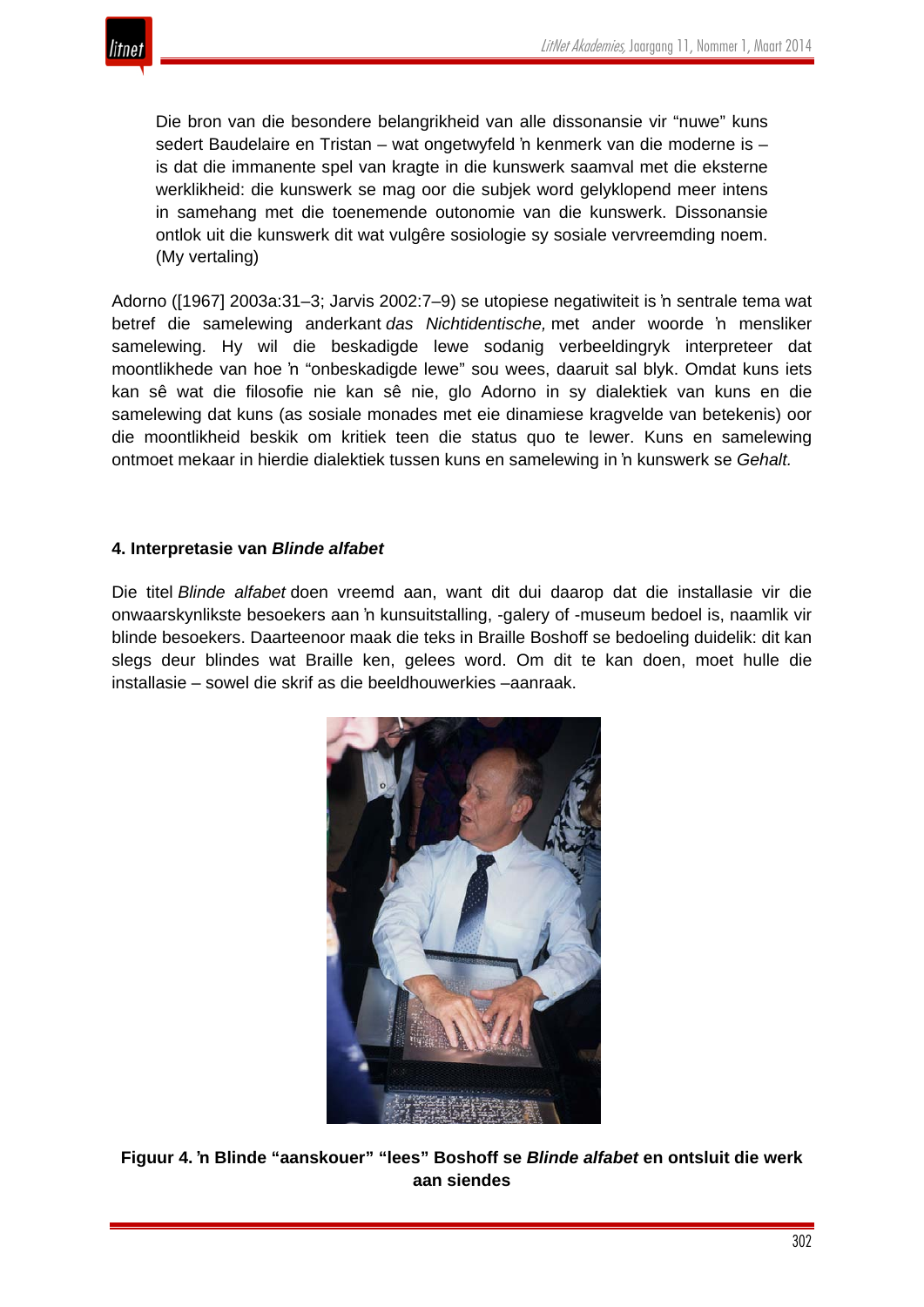

Die bron van die besondere belangrikheid van alle dissonansie vir "nuwe" kuns sedert Baudelaire en Tristan – wat ongetwyfeld 'n kenmerk van die moderne is – is dat die immanente spel van kragte in die kunswerk saamval met die eksterne werklikheid: die kunswerk se mag oor die subjek word gelyklopend meer intens in samehang met die toenemende outonomie van die kunswerk. Dissonansie ontlok uit die kunswerk dit wat vulgêre sosiologie sy sosiale vervreemding noem. (My vertaling)

Adorno ([1967] 2003a:31–3; Jarvis 2002:7–9) se utopiese negatiwiteit is 'n sentrale tema wat betref die samelewing anderkant *das Nichtidentische,* met ander woorde 'n mensliker samelewing. Hy wil die beskadigde lewe sodanig verbeeldingryk interpreteer dat moontlikhede van hoe 'n "onbeskadigde lewe" sou wees, daaruit sal blyk. Omdat kuns iets kan sê wat die filosofie nie kan sê nie, glo Adorno in sy dialektiek van kuns en die samelewing dat kuns (as sosiale monades met eie dinamiese kragvelde van betekenis) oor die moontlikheid beskik om kritiek teen die status quo te lewer. Kuns en samelewing ontmoet mekaar in hierdie dialektiek tussen kuns en samelewing in 'n kunswerk se *Gehalt.*

## **4. Interpretasie van** *Blinde alfabet*

Die titel *Blinde alfabet* doen vreemd aan, want dit dui daarop dat die installasie vir die onwaarskynlikste besoekers aan 'n kunsuitstalling, -galery of -museum bedoel is, naamlik vir blinde besoekers. Daarteenoor maak die teks in Braille Boshoff se bedoeling duidelik: dit kan slegs deur blindes wat Braille ken, gelees word. Om dit te kan doen, moet hulle die installasie – sowel die skrif as die beeldhouwerkies –aanraak.



**Figuur 4. 'n Blinde "aanskouer" "lees" Boshoff se** *Blinde alfabet* **en ontsluit die werk aan siendes**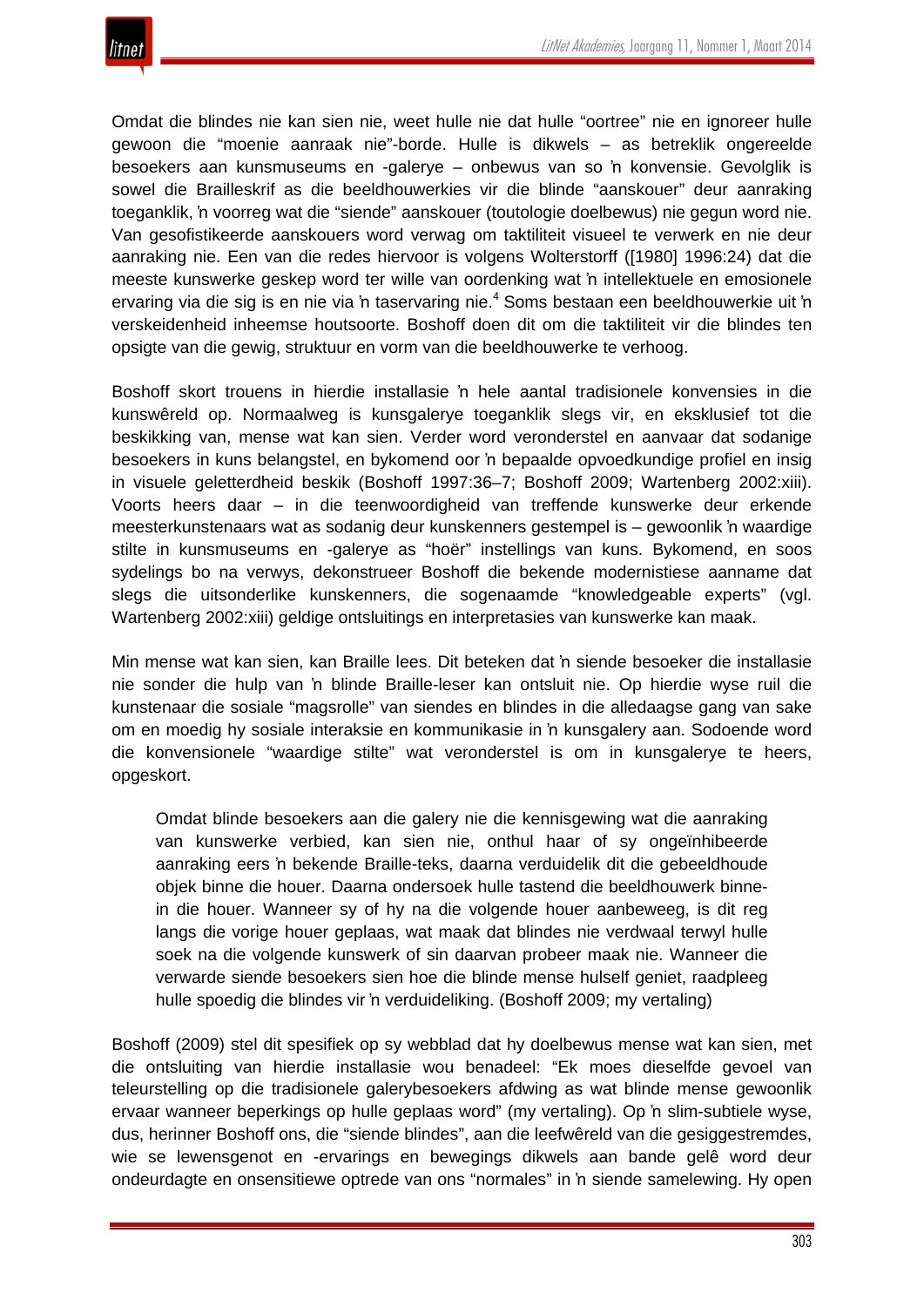

Omdat die blindes nie kan sien nie, weet hulle nie dat hulle "oortree" nie en ignoreer hulle gewoon die "moenie aanraak nie"-borde. Hulle is dikwels – as betreklik ongereelde besoekers aan kunsmuseums en -galerye – onbewus van so 'n konvensie. Gevolglik is sowel die Brailleskrif as die beeldhouwerkies vir die blinde "aanskouer" deur aanraking toeganklik, 'n voorreg wat die "siende" aanskouer (toutologie doelbewus) nie gegun word nie. Van gesofistikeerde aanskouers word verwag om taktiliteit visueel te verwerk en nie deur aanraking nie. Een van die redes hiervoor is volgens Wolterstorff ([1980] 1996:24) dat die meeste kunswerke geskep word ter wille van oordenking wat 'n intellektuele en emosionele ervaring via die sig is en nie via 'n taservaring nie.<sup>4</sup> Soms bestaan een beeldhouwerkie uit 'n verskeidenheid inheemse houtsoorte. Boshoff doen dit om die taktiliteit vir die blindes ten opsigte van die gewig, struktuur en vorm van die beeldhouwerke te verhoog.

Boshoff skort trouens in hierdie installasie 'n hele aantal tradisionele konvensies in die kunswêreld op. Normaalweg is kunsgalerye toeganklik slegs vir, en eksklusief tot die beskikking van, mense wat kan sien. Verder word veronderstel en aanvaar dat sodanige besoekers in kuns belangstel, en bykomend oor 'n bepaalde opvoedkundige profiel en insig in visuele geletterdheid beskik (Boshoff 1997:36–7; Boshoff 2009; Wartenberg 2002:xiii). Voorts heers daar – in die teenwoordigheid van treffende kunswerke deur erkende meesterkunstenaars wat as sodanig deur kunskenners gestempel is – gewoonlik 'n waardige stilte in kunsmuseums en -galerye as "hoër" instellings van kuns. Bykomend, en soos sydelings bo na verwys, dekonstrueer Boshoff die bekende modernistiese aanname dat slegs die uitsonderlike kunskenners, die sogenaamde "knowledgeable experts" (vgl. Wartenberg 2002:xiii) geldige ontsluitings en interpretasies van kunswerke kan maak.

Min mense wat kan sien, kan Braille lees. Dit beteken dat 'n siende besoeker die installasie nie sonder die hulp van 'n blinde Braille-leser kan ontsluit nie. Op hierdie wyse ruil die kunstenaar die sosiale "magsrolle" van siendes en blindes in die alledaagse gang van sake om en moedig hy sosiale interaksie en kommunikasie in 'n kunsgalery aan. Sodoende word die konvensionele "waardige stilte" wat veronderstel is om in kunsgalerye te heers, opgeskort.

Omdat blinde besoekers aan die galery nie die kennisgewing wat die aanraking van kunswerke verbied, kan sien nie, onthul haar of sy ongeïnhibeerde aanraking eers 'n bekende Braille-teks, daarna verduidelik dit die gebeeldhoude objek binne die houer. Daarna ondersoek hulle tastend die beeldhouwerk binnein die houer. Wanneer sy of hy na die volgende houer aanbeweeg, is dit reg langs die vorige houer geplaas, wat maak dat blindes nie verdwaal terwyl hulle soek na die volgende kunswerk of sin daarvan probeer maak nie. Wanneer die verwarde siende besoekers sien hoe die blinde mense hulself geniet, raadpleeg hulle spoedig die blindes vir 'n verduideliking. (Boshoff 2009; my vertaling)

Boshoff (2009) stel dit spesifiek op sy webblad dat hy doelbewus mense wat kan sien, met die ontsluiting van hierdie installasie wou benadeel: "Ek moes dieselfde gevoel van teleurstelling op die tradisionele galerybesoekers afdwing as wat blinde mense gewoonlik ervaar wanneer beperkings op hulle geplaas word" (my vertaling). Op 'n slim-subtiele wyse, dus, herinner Boshoff ons, die "siende blindes", aan die leefwêreld van die gesiggestremdes, wie se lewensgenot en -ervarings en bewegings dikwels aan bande gelê word deur ondeurdagte en onsensitiewe optrede van ons "normales" in 'n siende samelewing. Hy open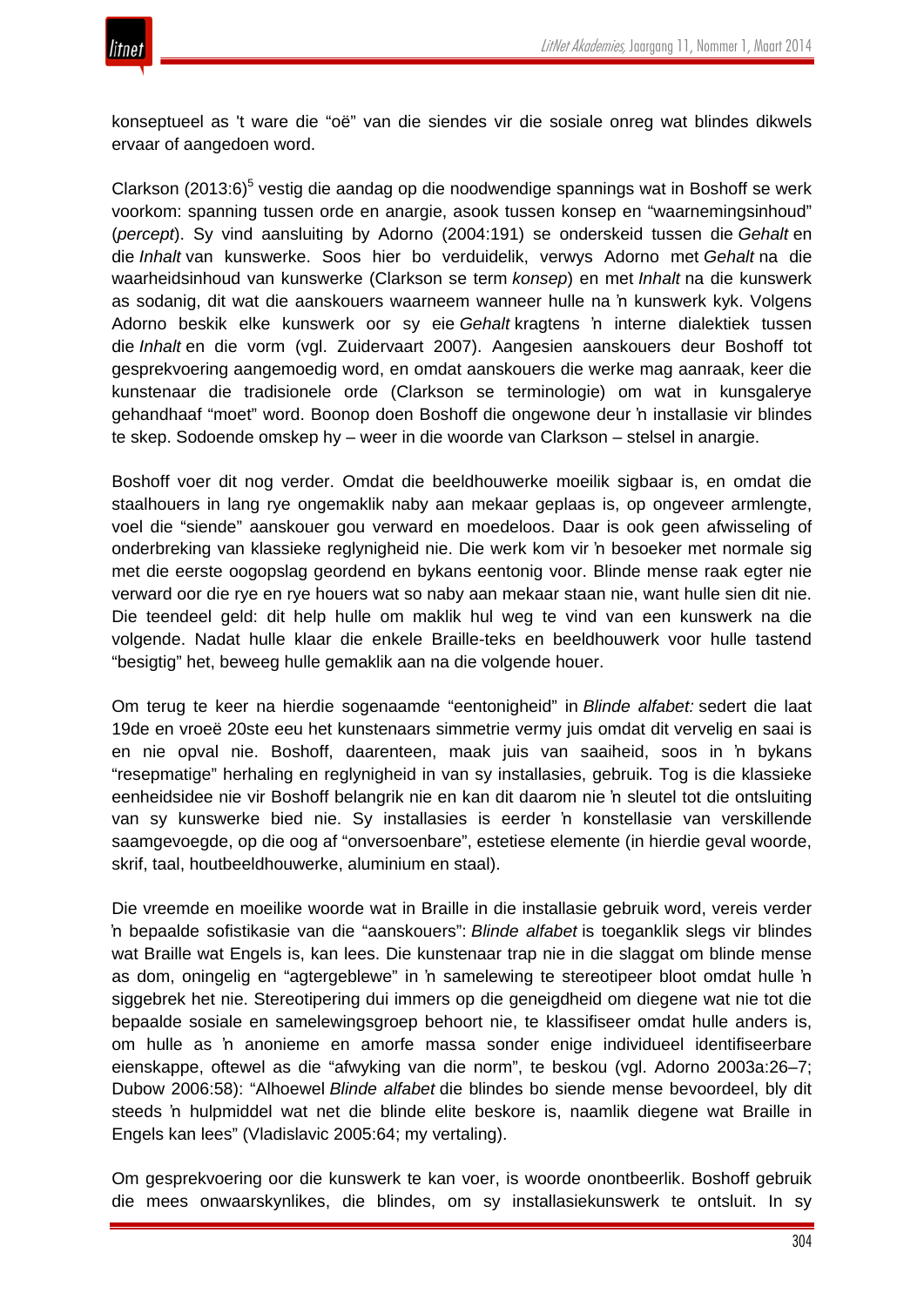

konseptueel as 't ware die "oë" van die siendes vir die sosiale onreg wat blindes dikwels ervaar of aangedoen word.

Clarkson (2013:6) $5$  vestig die aandag op die noodwendige spannings wat in Boshoff se werk voorkom: spanning tussen orde en anargie, asook tussen konsep en "waarnemingsinhoud" (*percept*). Sy vind aansluiting by Adorno (2004:191) se onderskeid tussen die *Gehalt* en die *Inhalt* van kunswerke. Soos hier bo verduidelik, verwys Adorno met *Gehalt* na die waarheidsinhoud van kunswerke (Clarkson se term *konsep*) en met *Inhalt* na die kunswerk as sodanig, dit wat die aanskouers waarneem wanneer hulle na 'n kunswerk kyk. Volgens Adorno beskik elke kunswerk oor sy eie *Gehalt* kragtens 'n interne dialektiek tussen die *Inhalt* en die vorm (vgl. Zuidervaart 2007). Aangesien aanskouers deur Boshoff tot gesprekvoering aangemoedig word, en omdat aanskouers die werke mag aanraak, keer die kunstenaar die tradisionele orde (Clarkson se terminologie) om wat in kunsgalerye gehandhaaf "moet" word. Boonop doen Boshoff die ongewone deur 'n installasie vir blindes te skep. Sodoende omskep hy – weer in die woorde van Clarkson – stelsel in anargie.

Boshoff voer dit nog verder. Omdat die beeldhouwerke moeilik sigbaar is, en omdat die staalhouers in lang rye ongemaklik naby aan mekaar geplaas is, op ongeveer armlengte, voel die "siende" aanskouer gou verward en moedeloos. Daar is ook geen afwisseling of onderbreking van klassieke reglynigheid nie. Die werk kom vir 'n besoeker met normale sig met die eerste oogopslag geordend en bykans eentonig voor. Blinde mense raak egter nie verward oor die rye en rye houers wat so naby aan mekaar staan nie, want hulle sien dit nie. Die teendeel geld: dit help hulle om maklik hul weg te vind van een kunswerk na die volgende. Nadat hulle klaar die enkele Braille-teks en beeldhouwerk voor hulle tastend "besigtig" het, beweeg hulle gemaklik aan na die volgende houer.

Om terug te keer na hierdie sogenaamde "eentonigheid" in *Blinde alfabet:* sedert die laat 19de en vroeë 20ste eeu het kunstenaars simmetrie vermy juis omdat dit vervelig en saai is en nie opval nie. Boshoff, daarenteen, maak juis van saaiheid, soos in 'n bykans "resepmatige" herhaling en reglynigheid in van sy installasies, gebruik. Tog is die klassieke eenheidsidee nie vir Boshoff belangrik nie en kan dit daarom nie 'n sleutel tot die ontsluiting van sy kunswerke bied nie. Sy installasies is eerder 'n konstellasie van verskillende saamgevoegde, op die oog af "onversoenbare", estetiese elemente (in hierdie geval woorde, skrif, taal, houtbeeldhouwerke, aluminium en staal).

Die vreemde en moeilike woorde wat in Braille in die installasie gebruik word, vereis verder 'n bepaalde sofistikasie van die "aanskouers": *Blinde alfabet* is toeganklik slegs vir blindes wat Braille wat Engels is, kan lees. Die kunstenaar trap nie in die slaggat om blinde mense as dom, oningelig en "agtergeblewe" in 'n samelewing te stereotipeer bloot omdat hulle 'n siggebrek het nie. Stereotipering dui immers op die geneigdheid om diegene wat nie tot die bepaalde sosiale en samelewingsgroep behoort nie, te klassifiseer omdat hulle anders is, om hulle as 'n anonieme en amorfe massa sonder enige individueel identifiseerbare eienskappe, oftewel as die "afwyking van die norm", te beskou (vgl. Adorno 2003a:26–7; Dubow 2006:58): "Alhoewel *Blinde alfabet* die blindes bo siende mense bevoordeel, bly dit steeds 'n hulpmiddel wat net die blinde elite beskore is, naamlik diegene wat Braille in Engels kan lees" (Vladislavic 2005:64; my vertaling).

Om gesprekvoering oor die kunswerk te kan voer, is woorde onontbeerlik. Boshoff gebruik die mees onwaarskynlikes, die blindes, om sy installasiekunswerk te ontsluit. In sy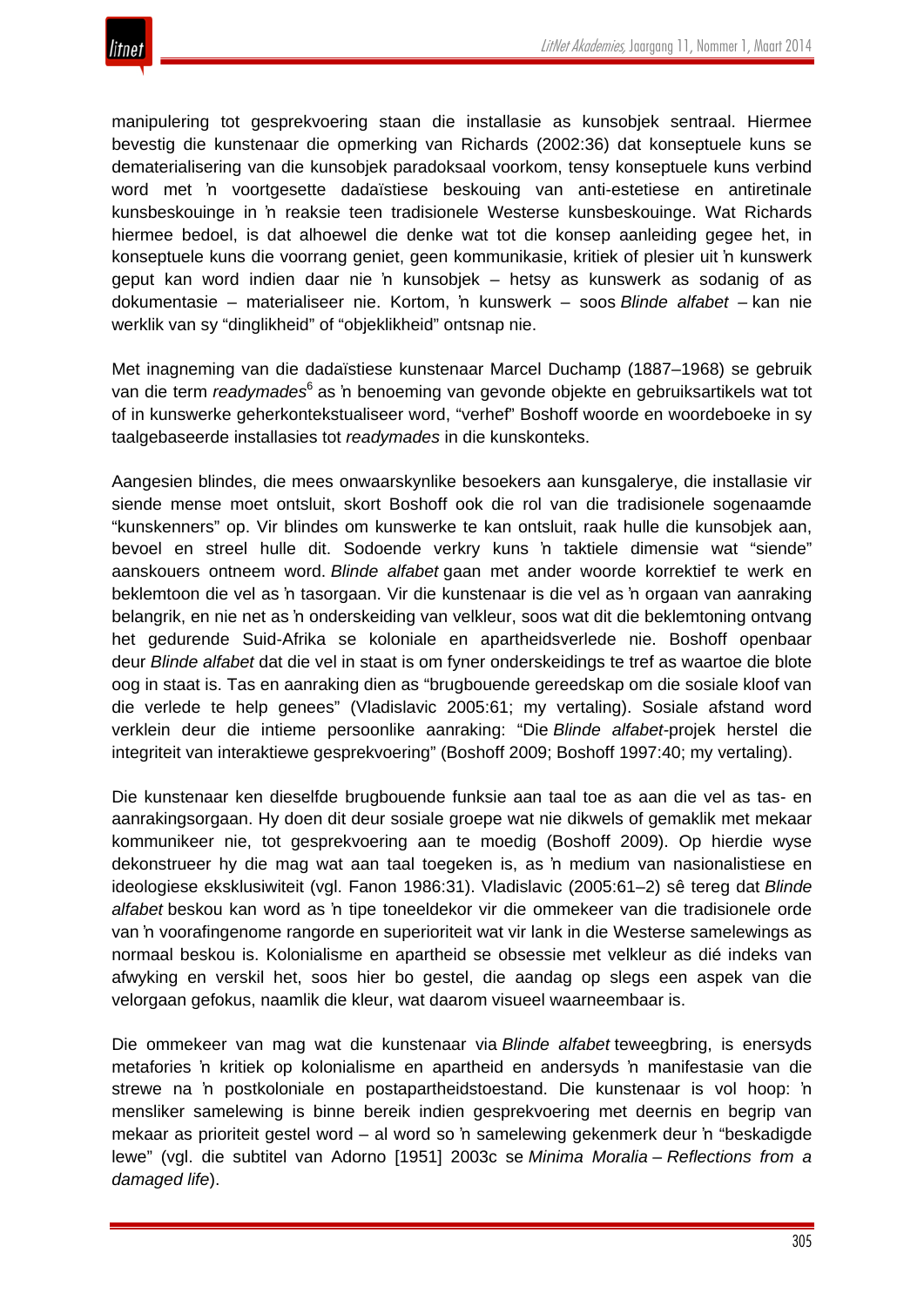

manipulering tot gesprekvoering staan die installasie as kunsobjek sentraal. Hiermee bevestig die kunstenaar die opmerking van Richards (2002:36) dat konseptuele kuns se dematerialisering van die kunsobjek paradoksaal voorkom, tensy konseptuele kuns verbind word met 'n voortgesette dadaïstiese beskouing van anti-estetiese en antiretinale kunsbeskouinge in 'n reaksie teen tradisionele Westerse kunsbeskouinge. Wat Richards hiermee bedoel, is dat alhoewel die denke wat tot die konsep aanleiding gegee het, in konseptuele kuns die voorrang geniet, geen kommunikasie, kritiek of plesier uit 'n kunswerk geput kan word indien daar nie 'n kunsobjek – hetsy as kunswerk as sodanig of as dokumentasie – materialiseer nie. Kortom, 'n kunswerk – soos *Blinde alfabet –* kan nie werklik van sy "dinglikheid" of "objeklikheid" ontsnap nie.

Met inagneming van die dadaïstiese kunstenaar Marcel Duchamp (1887–1968) se gebruik van die term *readymades*<sup>6</sup> as 'n benoeming van gevonde objekte en gebruiksartikels wat tot of in kunswerke geherkontekstualiseer word, "verhef" Boshoff woorde en woordeboeke in sy taalgebaseerde installasies tot *readymades* in die kunskonteks.

Aangesien blindes, die mees onwaarskynlike besoekers aan kunsgalerye, die installasie vir siende mense moet ontsluit, skort Boshoff ook die rol van die tradisionele sogenaamde "kunskenners" op. Vir blindes om kunswerke te kan ontsluit, raak hulle die kunsobjek aan, bevoel en streel hulle dit. Sodoende verkry kuns 'n taktiele dimensie wat "siende" aanskouers ontneem word. *Blinde alfabet* gaan met ander woorde korrektief te werk en beklemtoon die vel as 'n tasorgaan. Vir die kunstenaar is die vel as 'n orgaan van aanraking belangrik, en nie net as 'n onderskeiding van velkleur, soos wat dit die beklemtoning ontvang het gedurende Suid-Afrika se koloniale en apartheidsverlede nie. Boshoff openbaar deur *Blinde alfabet* dat die vel in staat is om fyner onderskeidings te tref as waartoe die blote oog in staat is. Tas en aanraking dien as "brugbouende gereedskap om die sosiale kloof van die verlede te help genees" (Vladislavic 2005:61; my vertaling). Sosiale afstand word verklein deur die intieme persoonlike aanraking: "Die *Blinde alfabet-*projek herstel die integriteit van interaktiewe gesprekvoering" (Boshoff 2009; Boshoff 1997:40; my vertaling).

Die kunstenaar ken dieselfde brugbouende funksie aan taal toe as aan die vel as tas- en aanrakingsorgaan. Hy doen dit deur sosiale groepe wat nie dikwels of gemaklik met mekaar kommunikeer nie, tot gesprekvoering aan te moedig (Boshoff 2009). Op hierdie wyse dekonstrueer hy die mag wat aan taal toegeken is, as 'n medium van nasionalistiese en ideologiese eksklusiwiteit (vgl. Fanon 1986:31). Vladislavic (2005:61–2) sê tereg dat *Blinde alfabet* beskou kan word as 'n tipe toneeldekor vir die ommekeer van die tradisionele orde van 'n voorafingenome rangorde en superioriteit wat vir lank in die Westerse samelewings as normaal beskou is. Kolonialisme en apartheid se obsessie met velkleur as dié indeks van afwyking en verskil het, soos hier bo gestel, die aandag op slegs een aspek van die velorgaan gefokus, naamlik die kleur, wat daarom visueel waarneembaar is.

Die ommekeer van mag wat die kunstenaar via *Blinde alfabet* teweegbring, is enersyds metafories 'n kritiek op kolonialisme en apartheid en andersyds 'n manifestasie van die strewe na 'n postkoloniale en postapartheidstoestand. Die kunstenaar is vol hoop: 'n mensliker samelewing is binne bereik indien gesprekvoering met deernis en begrip van mekaar as prioriteit gestel word – al word so 'n samelewing gekenmerk deur 'n "beskadigde lewe" (vgl. die subtitel van Adorno [1951] 2003c se *Minima Moralia* – *Reflections from a damaged life*).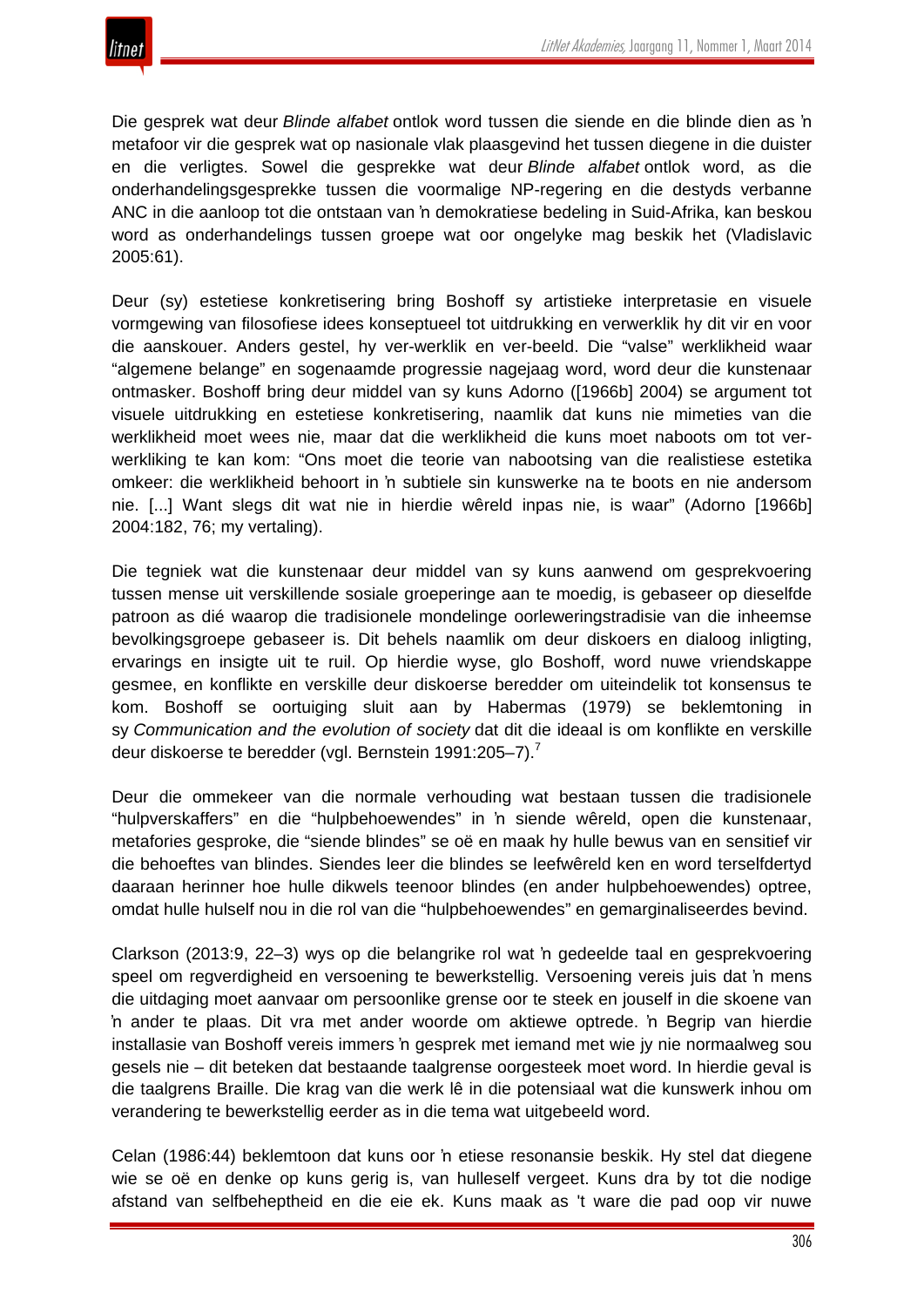Die gesprek wat deur *Blinde alfabet* ontlok word tussen die siende en die blinde dien as 'n metafoor vir die gesprek wat op nasionale vlak plaasgevind het tussen diegene in die duister en die verligtes. Sowel die gesprekke wat deur *Blinde alfabet* ontlok word, as die onderhandelingsgesprekke tussen die voormalige NP-regering en die destyds verbanne ANC in die aanloop tot die ontstaan van 'n demokratiese bedeling in Suid-Afrika, kan beskou word as onderhandelings tussen groepe wat oor ongelyke mag beskik het (Vladislavic 2005:61).

Deur (sy) estetiese konkretisering bring Boshoff sy artistieke interpretasie en visuele vormgewing van filosofiese idees konseptueel tot uitdrukking en verwerklik hy dit vir en voor die aanskouer. Anders gestel, hy ver-werklik en ver-beeld. Die "valse" werklikheid waar "algemene belange" en sogenaamde progressie nagejaag word, word deur die kunstenaar ontmasker. Boshoff bring deur middel van sy kuns Adorno ([1966b] 2004) se argument tot visuele uitdrukking en estetiese konkretisering, naamlik dat kuns nie mimeties van die werklikheid moet wees nie, maar dat die werklikheid die kuns moet naboots om tot verwerkliking te kan kom: "Ons moet die teorie van nabootsing van die realistiese estetika omkeer: die werklikheid behoort in 'n subtiele sin kunswerke na te boots en nie andersom nie. [...] Want slegs dit wat nie in hierdie wêreld inpas nie, is waar" (Adorno [1966b] 2004:182, 76; my vertaling).

Die tegniek wat die kunstenaar deur middel van sy kuns aanwend om gesprekvoering tussen mense uit verskillende sosiale groeperinge aan te moedig, is gebaseer op dieselfde patroon as dié waarop die tradisionele mondelinge oorleweringstradisie van die inheemse bevolkingsgroepe gebaseer is. Dit behels naamlik om deur diskoers en dialoog inligting, ervarings en insigte uit te ruil. Op hierdie wyse, glo Boshoff, word nuwe vriendskappe gesmee, en konflikte en verskille deur diskoerse beredder om uiteindelik tot konsensus te kom. Boshoff se oortuiging sluit aan by Habermas (1979) se beklemtoning in sy *Communication and the evolution of society* dat dit die ideaal is om konflikte en verskille deur diskoerse te beredder (vgl. Bernstein 1991:205–7).<sup>7</sup>

Deur die ommekeer van die normale verhouding wat bestaan tussen die tradisionele "hulpverskaffers" en die "hulpbehoewendes" in 'n siende wêreld, open die kunstenaar, metafories gesproke, die "siende blindes" se oë en maak hy hulle bewus van en sensitief vir die behoeftes van blindes. Siendes leer die blindes se leefwêreld ken en word terselfdertyd daaraan herinner hoe hulle dikwels teenoor blindes (en ander hulpbehoewendes) optree, omdat hulle hulself nou in die rol van die "hulpbehoewendes" en gemarginaliseerdes bevind.

Clarkson (2013:9, 22–3) wys op die belangrike rol wat 'n gedeelde taal en gesprekvoering speel om regverdigheid en versoening te bewerkstellig. Versoening vereis juis dat 'n mens die uitdaging moet aanvaar om persoonlike grense oor te steek en jouself in die skoene van 'n ander te plaas. Dit vra met ander woorde om aktiewe optrede. 'n Begrip van hierdie installasie van Boshoff vereis immers 'n gesprek met iemand met wie jy nie normaalweg sou gesels nie – dit beteken dat bestaande taalgrense oorgesteek moet word. In hierdie geval is die taalgrens Braille. Die krag van die werk lê in die potensiaal wat die kunswerk inhou om verandering te bewerkstellig eerder as in die tema wat uitgebeeld word.

Celan (1986:44) beklemtoon dat kuns oor 'n etiese resonansie beskik. Hy stel dat diegene wie se oë en denke op kuns gerig is, van hulleself vergeet. Kuns dra by tot die nodige afstand van selfbeheptheid en die eie ek. Kuns maak as 't ware die pad oop vir nuwe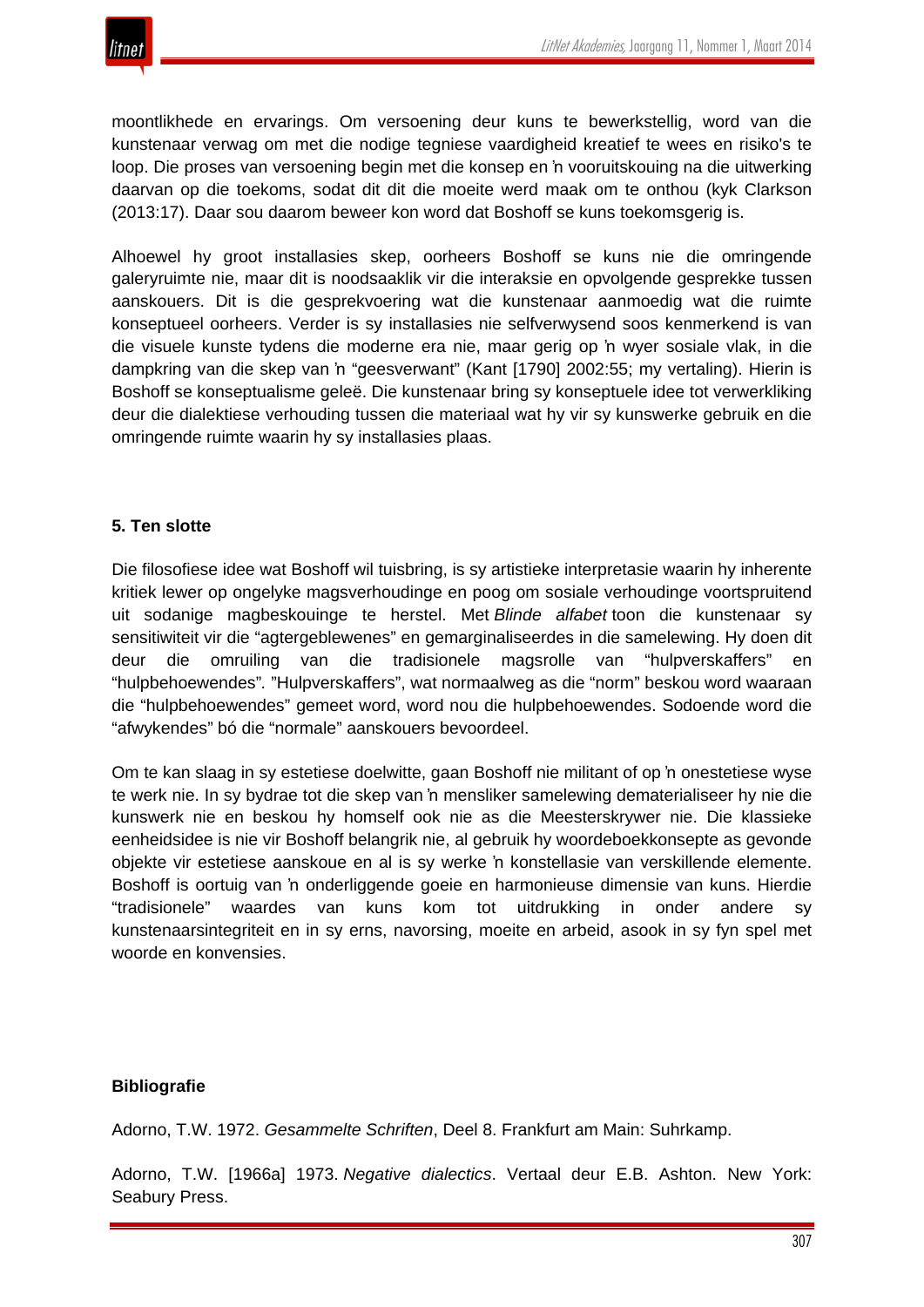

moontlikhede en ervarings. Om versoening deur kuns te bewerkstellig, word van die kunstenaar verwag om met die nodige tegniese vaardigheid kreatief te wees en risiko's te loop. Die proses van versoening begin met die konsep en 'n vooruitskouing na die uitwerking daarvan op die toekoms, sodat dit dit die moeite werd maak om te onthou (kyk Clarkson (2013:17). Daar sou daarom beweer kon word dat Boshoff se kuns toekomsgerig is.

Alhoewel hy groot installasies skep, oorheers Boshoff se kuns nie die omringende galeryruimte nie, maar dit is noodsaaklik vir die interaksie en opvolgende gesprekke tussen aanskouers. Dit is die gesprekvoering wat die kunstenaar aanmoedig wat die ruimte konseptueel oorheers. Verder is sy installasies nie selfverwysend soos kenmerkend is van die visuele kunste tydens die moderne era nie, maar gerig op 'n wyer sosiale vlak, in die dampkring van die skep van 'n "geesverwant" (Kant [1790] 2002:55; my vertaling). Hierin is Boshoff se konseptualisme geleë. Die kunstenaar bring sy konseptuele idee tot verwerkliking deur die dialektiese verhouding tussen die materiaal wat hy vir sy kunswerke gebruik en die omringende ruimte waarin hy sy installasies plaas.

#### **5. Ten slotte**

Die filosofiese idee wat Boshoff wil tuisbring, is sy artistieke interpretasie waarin hy inherente kritiek lewer op ongelyke magsverhoudinge en poog om sosiale verhoudinge voortspruitend uit sodanige magbeskouinge te herstel. Met *Blinde alfabet* toon die kunstenaar sy sensitiwiteit vir die "agtergeblewenes" en gemarginaliseerdes in die samelewing. Hy doen dit deur die omruiling van die tradisionele magsrolle van "hulpverskaffers" en "hulpbehoewendes"*.* "Hulpverskaffers", wat normaalweg as die "norm" beskou word waaraan die "hulpbehoewendes" gemeet word, word nou die hulpbehoewendes. Sodoende word die "afwykendes" bó die "normale" aanskouers bevoordeel.

Om te kan slaag in sy estetiese doelwitte, gaan Boshoff nie militant of op 'n onestetiese wyse te werk nie. In sy bydrae tot die skep van 'n mensliker samelewing dematerialiseer hy nie die kunswerk nie en beskou hy homself ook nie as die Meesterskrywer nie. Die klassieke eenheidsidee is nie vir Boshoff belangrik nie, al gebruik hy woordeboekkonsepte as gevonde objekte vir estetiese aanskoue en al is sy werke 'n konstellasie van verskillende elemente. Boshoff is oortuig van 'n onderliggende goeie en harmonieuse dimensie van kuns. Hierdie "tradisionele" waardes van kuns kom tot uitdrukking in onder andere sy kunstenaarsintegriteit en in sy erns, navorsing, moeite en arbeid, asook in sy fyn spel met woorde en konvensies.

#### **Bibliografie**

Adorno, T.W. 1972. *Gesammelte Schriften*, Deel 8. Frankfurt am Main: Suhrkamp.

Adorno, T.W. [1966a] 1973. *Negative dialectics*. Vertaal deur E.B. Ashton. New York: Seabury Press.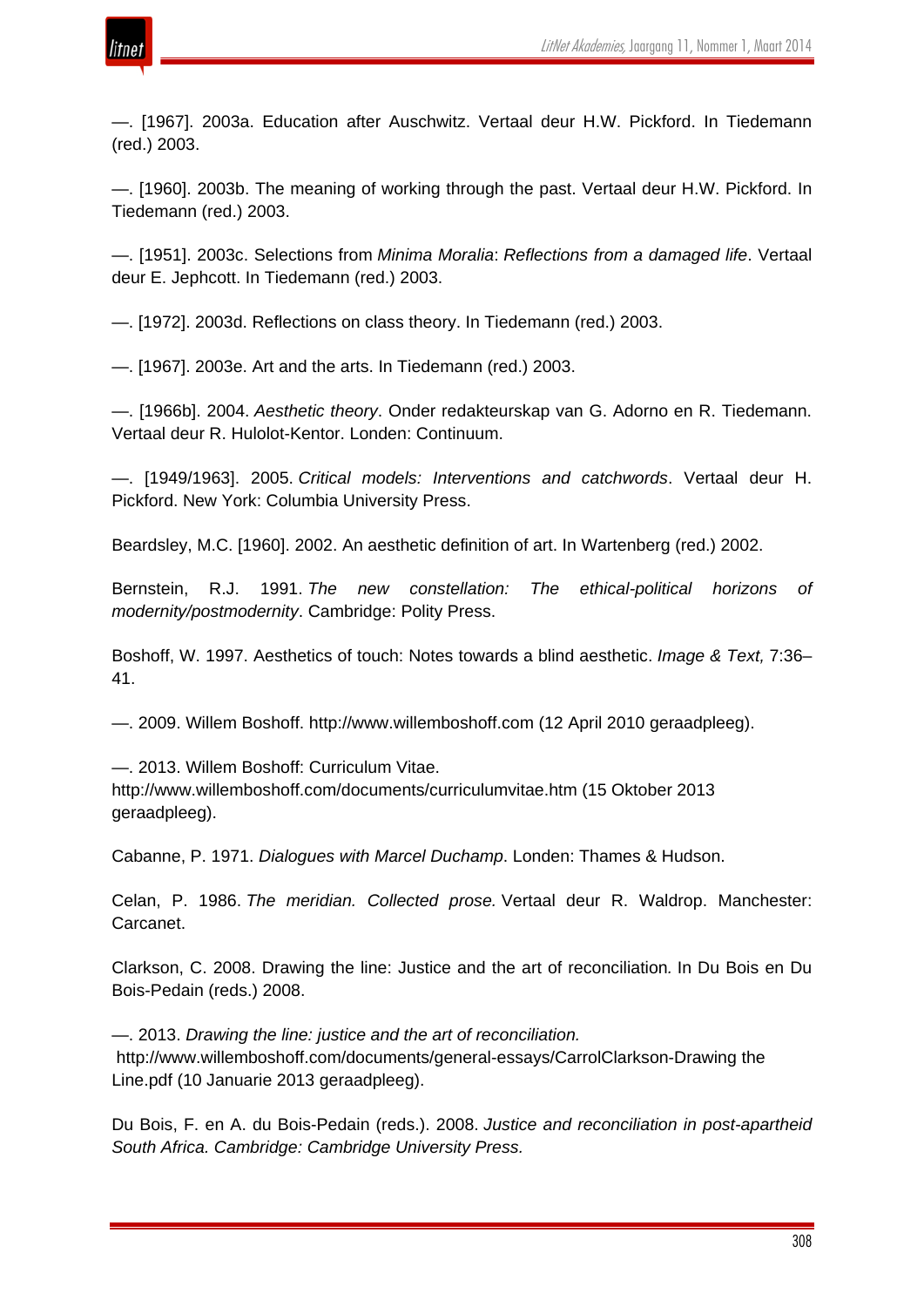

—. [1967]. 2003a. Education after Auschwitz. Vertaal deur H.W. Pickford. In Tiedemann (red.) 2003.

—. [1960]. 2003b. The meaning of working through the past. Vertaal deur H.W. Pickford. In Tiedemann (red.) 2003.

—. [1951]. 2003c. Selections from *Minima Moralia*: *Reflections from a damaged life*. Vertaal deur E. Jephcott. In Tiedemann (red.) 2003.

—. [1972]. 2003d. Reflections on class theory. In Tiedemann (red.) 2003.

—. [1967]. 2003e. Art and the arts. In Tiedemann (red.) 2003.

—. [1966b]. 2004. *Aesthetic theory*. Onder redakteurskap van G. Adorno en R. Tiedemann. Vertaal deur R. Hulolot-Kentor. Londen: Continuum.

—. [1949/1963]. 2005. *Critical models: Interventions and catchwords*. Vertaal deur H. Pickford. New York: Columbia University Press.

Beardsley, M.C. [1960]. 2002. An aesthetic definition of art. In Wartenberg (red.) 2002.

Bernstein, R.J. 1991. *The new constellation: The ethical-political horizons of modernity/postmodernity*. Cambridge: Polity Press.

Boshoff, W. 1997. Aesthetics of touch: Notes towards a blind aesthetic. *Image & Text,* 7:36– 41.

—. 2009. Willem Boshoff. http://www.willemboshoff.com (12 April 2010 geraadpleeg).

—. 2013. Willem Boshoff: Curriculum Vitae.

http://www.willemboshoff.com/documents/curriculumvitae.htm (15 Oktober 2013 geraadpleeg).

Cabanne, P. 1971. *Dialogues with Marcel Duchamp*. Londen: Thames & Hudson.

Celan, P. 1986. *The meridian. Collected prose.* Vertaal deur R. Waldrop. Manchester: Carcanet.

Clarkson, C. 2008. Drawing the line: Justice and the art of reconciliation*.* In Du Bois en Du Bois-Pedain (reds.) 2008.

—. 2013. *Drawing the line: justice and the art of reconciliation.* http://www.willemboshoff.com/documents/general-essays/CarrolClarkson-Drawing the Line.pdf (10 Januarie 2013 geraadpleeg).

Du Bois, F. en A. du Bois-Pedain (reds.). 2008. *Justice and reconciliation in post-apartheid South Africa. Cambridge: Cambridge University Press.*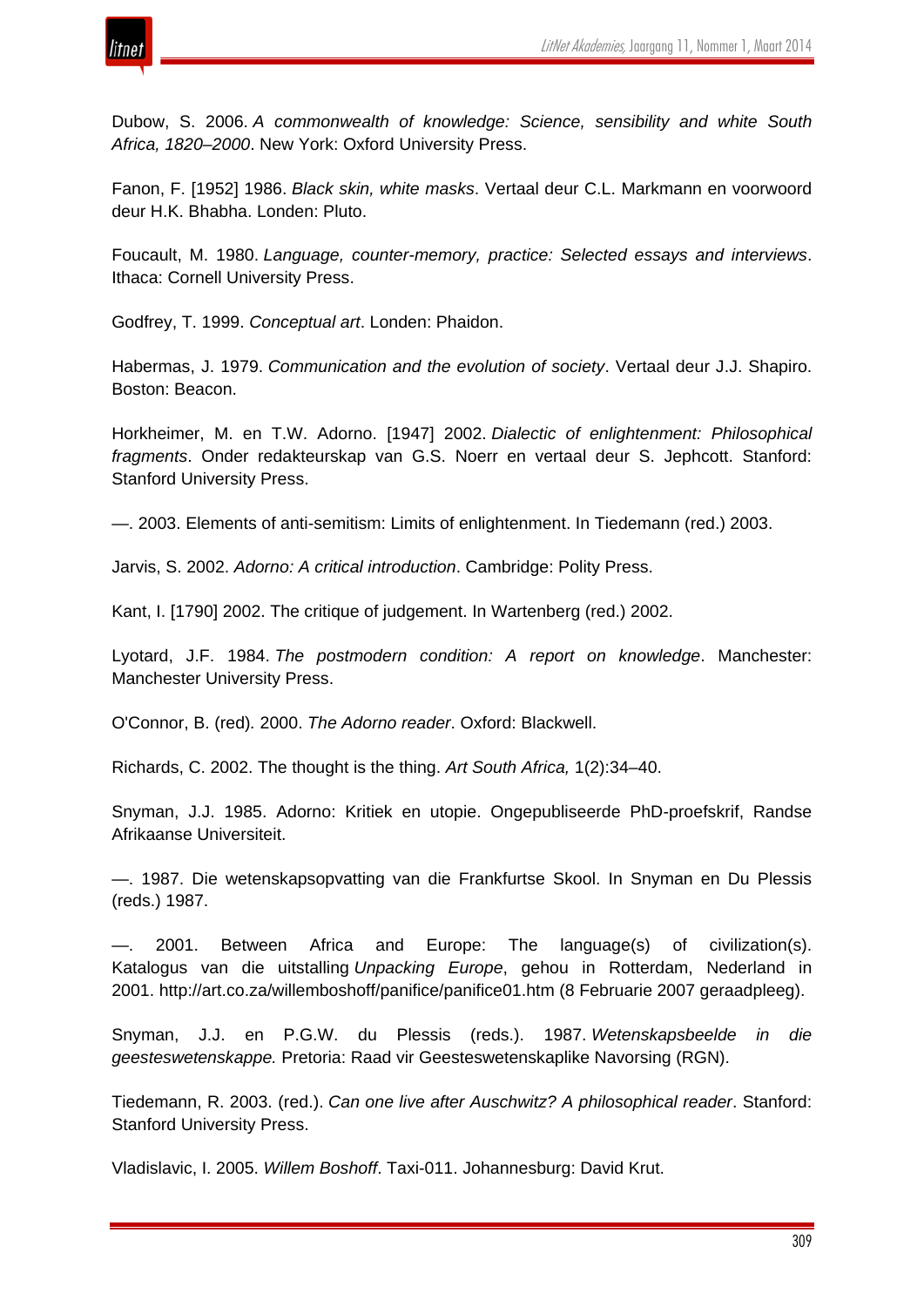



Dubow, S. 2006. *A commonwealth of knowledge: Science, sensibility and white South Africa, 1820–2000*. New York: Oxford University Press.

Fanon, F. [1952] 1986. *Black skin, white masks*. Vertaal deur C.L. Markmann en voorwoord deur H.K. Bhabha. Londen: Pluto.

Foucault, M. 1980. *Language, counter-memory, practice: Selected essays and interviews*. Ithaca: Cornell University Press.

Godfrey, T. 1999. *Conceptual art*. Londen: Phaidon.

Habermas, J. 1979. *Communication and the evolution of society*. Vertaal deur J.J. Shapiro. Boston: Beacon.

Horkheimer, M. en T.W. Adorno. [1947] 2002. *Dialectic of enlightenment: Philosophical fragments*. Onder redakteurskap van G.S. Noerr en vertaal deur S. Jephcott. Stanford: Stanford University Press.

—. 2003. Elements of anti-semitism: Limits of enlightenment. In Tiedemann (red.) 2003.

Jarvis, S. 2002. *Adorno: A critical introduction*. Cambridge: Polity Press.

Kant, I. [1790] 2002. The critique of judgement. In Wartenberg (red.) 2002.

Lyotard, J.F. 1984. *The postmodern condition: A report on knowledge*. Manchester: Manchester University Press.

O'Connor, B. (red)*.* 2000. *The Adorno reader*. Oxford: Blackwell.

Richards, C. 2002. The thought is the thing. *Art South Africa,* 1(2):34–40.

Snyman, J.J. 1985. Adorno: Kritiek en utopie. Ongepubliseerde PhD-proefskrif, Randse Afrikaanse Universiteit.

—. 1987. Die wetenskapsopvatting van die Frankfurtse Skool. In Snyman en Du Plessis (reds.) 1987.

—. 2001. Between Africa and Europe: The language(s) of civilization(s). Katalogus van die uitstalling *Unpacking Europe*, gehou in Rotterdam, Nederland in 2001. http://art.co.za/willemboshoff/panifice/panifice01.htm (8 Februarie 2007 geraadpleeg).

Snyman, J.J. en P.G.W. du Plessis (reds.). 1987. *Wetenskapsbeelde in die geesteswetenskappe.* Pretoria: Raad vir Geesteswetenskaplike Navorsing (RGN).

Tiedemann, R. 2003. (red.). *Can one live after Auschwitz? A philosophical reader*. Stanford: Stanford University Press.

Vladislavic, I. 2005. *Willem Boshoff*. Taxi-011. Johannesburg: David Krut.